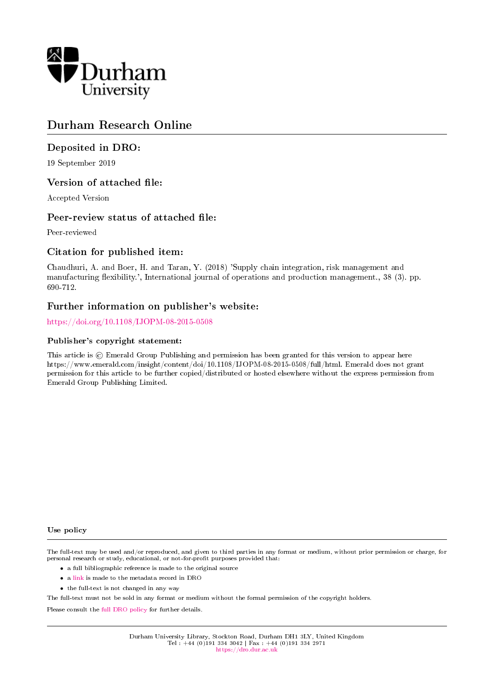

# Durham Research Online

#### Deposited in DRO:

19 September 2019

#### Version of attached file:

Accepted Version

#### Peer-review status of attached file:

Peer-reviewed

#### Citation for published item:

Chaudhuri, A. and Boer, H. and Taran, Y. (2018) 'Supply chain integration, risk management and manufacturing flexibility.', International journal of operations and production management., 38 (3). pp. 690-712.

#### Further information on publisher's website:

<https://doi.org/10.1108/IJOPM-08-2015-0508>

#### Publisher's copyright statement:

This article is  $\odot$  Emerald Group Publishing and permission has been granted for this version to appear here https://www.emerald.com/insight/content/doi/10.1108/IJOPM-08-2015-0508/full/html. Emerald does not grant permission for this article to be further copied/distributed or hosted elsewhere without the express permission from Emerald Group Publishing Limited.

#### Use policy

The full-text may be used and/or reproduced, and given to third parties in any format or medium, without prior permission or charge, for personal research or study, educational, or not-for-profit purposes provided that:

- a full bibliographic reference is made to the original source
- a [link](http://dro.dur.ac.uk/29132/) is made to the metadata record in DRO
- the full-text is not changed in any way

The full-text must not be sold in any format or medium without the formal permission of the copyright holders.

Please consult the [full DRO policy](https://dro.dur.ac.uk/policies/usepolicy.pdf) for further details.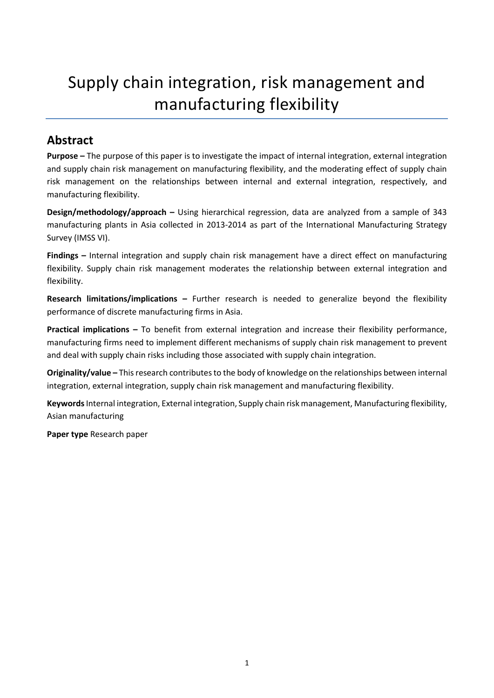# Supply chain integration, risk management and manufacturing flexibility

# **Abstract**

**Purpose –** The purpose of this paper is to investigate the impact of internal integration, external integration and supply chain risk management on manufacturing flexibility, and the moderating effect of supply chain risk management on the relationships between internal and external integration, respectively, and manufacturing flexibility.

**Design/methodology/approach –** Using hierarchical regression, data are analyzed from a sample of 343 manufacturing plants in Asia collected in 2013-2014 as part of the International Manufacturing Strategy Survey (IMSS VI).

**Findings –** Internal integration and supply chain risk management have a direct effect on manufacturing flexibility. Supply chain risk management moderates the relationship between external integration and flexibility.

**Research limitations/implications –** Further research is needed to generalize beyond the flexibility performance of discrete manufacturing firms in Asia.

**Practical implications –** To benefit from external integration and increase their flexibility performance, manufacturing firms need to implement different mechanisms of supply chain risk management to prevent and deal with supply chain risks including those associated with supply chain integration.

**Originality/value –** This research contributes to the body of knowledge on the relationships between internal integration, external integration, supply chain risk management and manufacturing flexibility.

**Keywords**Internal integration, External integration, Supply chain risk management, Manufacturing flexibility, Asian manufacturing

**Paper type** Research paper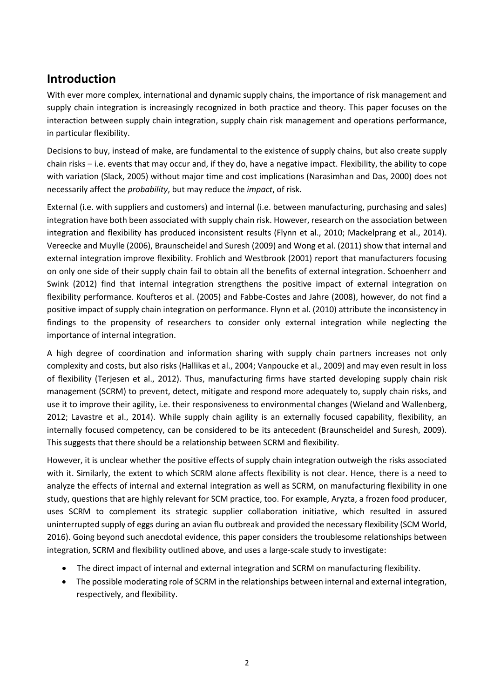# **Introduction**

With ever more complex, international and dynamic supply chains, the importance of risk management and supply chain integration is increasingly recognized in both practice and theory. This paper focuses on the interaction between supply chain integration, supply chain risk management and operations performance, in particular flexibility.

Decisions to buy, instead of make, are fundamental to the existence of supply chains, but also create supply chain risks – i.e. events that may occur and, if they do, have a negative impact. Flexibility, the ability to cope with variation (Slack, 2005) without major time and cost implications (Narasimhan and Das, 2000) does not necessarily affect the *probability*, but may reduce the *impact*, of risk.

External (i.e. with suppliers and customers) and internal (i.e. between manufacturing, purchasing and sales) integration have both been associated with supply chain risk. However, research on the association between integration and flexibility has produced inconsistent results (Flynn et al., 2010; Mackelprang et al., 2014). Vereecke and Muylle (2006), Braunscheidel and Suresh (2009) and Wong et al. (2011) show that internal and external integration improve flexibility. Frohlich and Westbrook (2001) report that manufacturers focusing on only one side of their supply chain fail to obtain all the benefits of external integration. Schoenherr and Swink (2012) find that internal integration strengthens the positive impact of external integration on flexibility performance. Koufteros et al. (2005) and Fabbe-Costes and Jahre (2008), however, do not find a positive impact of supply chain integration on performance. Flynn et al. (2010) attribute the inconsistency in findings to the propensity of researchers to consider only external integration while neglecting the importance of internal integration.

A high degree of coordination and information sharing with supply chain partners increases not only complexity and costs, but also risks (Hallikas et al., 2004; Vanpoucke et al., 2009) and may even result in loss of flexibility (Terjesen et al., 2012). Thus, manufacturing firms have started developing supply chain risk management (SCRM) to prevent, detect, mitigate and respond more adequately to, supply chain risks, and use it to improve their agility, i.e. their responsiveness to environmental changes (Wieland and Wallenberg, 2012; Lavastre et al., 2014). While supply chain agility is an externally focused capability, flexibility, an internally focused competency, can be considered to be its antecedent (Braunscheidel and Suresh, 2009). This suggests that there should be a relationship between SCRM and flexibility.

However, it is unclear whether the positive effects of supply chain integration outweigh the risks associated with it. Similarly, the extent to which SCRM alone affects flexibility is not clear. Hence, there is a need to analyze the effects of internal and external integration as well as SCRM, on manufacturing flexibility in one study, questions that are highly relevant for SCM practice, too. For example, Aryzta, a frozen food producer, uses SCRM to complement its strategic supplier collaboration initiative, which resulted in assured uninterrupted supply of eggs during an avian flu outbreak and provided the necessary flexibility (SCM World, 2016). Going beyond such anecdotal evidence, this paper considers the troublesome relationships between integration, SCRM and flexibility outlined above, and uses a large-scale study to investigate:

- The direct impact of internal and external integration and SCRM on manufacturing flexibility.
- The possible moderating role of SCRM in the relationships between internal and external integration, respectively, and flexibility.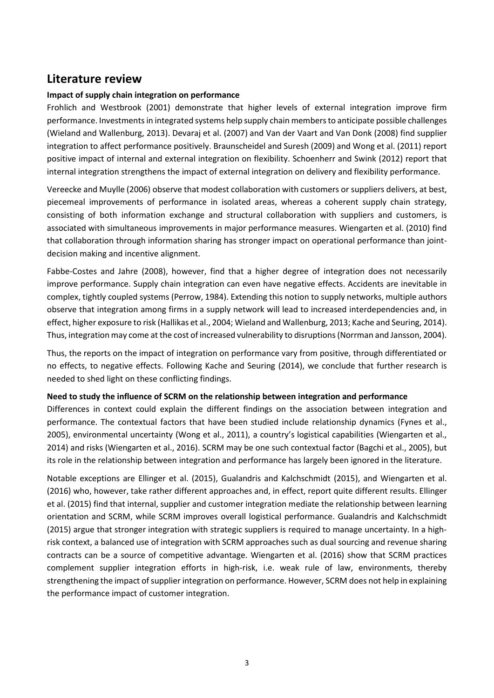# **Literature review**

#### **Impact of supply chain integration on performance**

Frohlich and Westbrook (2001) demonstrate that higher levels of external integration improve firm performance. Investments in integrated systems help supply chain members to anticipate possible challenges (Wieland and Wallenburg, 2013). Devaraj et al. (2007) and Van der Vaart and Van Donk (2008) find supplier integration to affect performance positively. Braunscheidel and Suresh (2009) and Wong et al. (2011) report positive impact of internal and external integration on flexibility. Schoenherr and Swink (2012) report that internal integration strengthens the impact of external integration on delivery and flexibility performance.

Vereecke and Muylle (2006) observe that modest collaboration with customers or suppliers delivers, at best, piecemeal improvements of performance in isolated areas, whereas a coherent supply chain strategy, consisting of both information exchange and structural collaboration with suppliers and customers, is associated with simultaneous improvements in major performance measures. Wiengarten et al. (2010) find that collaboration through information sharing has stronger impact on operational performance than jointdecision making and incentive alignment.

Fabbe-Costes and Jahre (2008), however, find that a higher degree of integration does not necessarily improve performance. Supply chain integration can even have negative effects. Accidents are inevitable in complex, tightly coupled systems (Perrow, 1984). Extending this notion to supply networks, multiple authors observe that integration among firms in a supply network will lead to increased interdependencies and, in effect, higher exposure to risk (Hallikas et al., 2004; Wieland and Wallenburg, 2013; Kache and Seuring, 2014). Thus, integration may come at the cost of increased vulnerability to disruptions (Norrman and Jansson, 2004).

Thus, the reports on the impact of integration on performance vary from positive, through differentiated or no effects, to negative effects. Following Kache and Seuring (2014), we conclude that further research is needed to shed light on these conflicting findings.

#### **Need to study the influence of SCRM on the relationship between integration and performance**

Differences in context could explain the different findings on the association between integration and performance. The contextual factors that have been studied include relationship dynamics (Fynes et al., 2005), environmental uncertainty (Wong et al., 2011), a country's logistical capabilities (Wiengarten et al., 2014) and risks (Wiengarten et al., 2016). SCRM may be one such contextual factor (Bagchi et al., 2005), but its role in the relationship between integration and performance has largely been ignored in the literature.

Notable exceptions are Ellinger et al. (2015), Gualandris and Kalchschmidt (2015), and Wiengarten et al. (2016) who, however, take rather different approaches and, in effect, report quite different results. Ellinger et al. (2015) find that internal, supplier and customer integration mediate the relationship between learning orientation and SCRM, while SCRM improves overall logistical performance. Gualandris and Kalchschmidt (2015) argue that stronger integration with strategic suppliers is required to manage uncertainty. In a highrisk context, a balanced use of integration with SCRM approaches such as dual sourcing and revenue sharing contracts can be a source of competitive advantage. Wiengarten et al. (2016) show that SCRM practices complement supplier integration efforts in high-risk, i.e. weak rule of law, environments, thereby strengthening the impact of supplier integration on performance. However, SCRM does not help in explaining the performance impact of customer integration.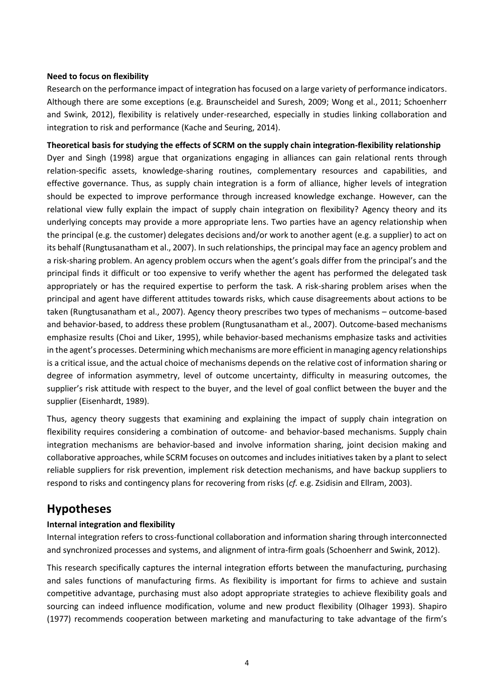#### **Need to focus on flexibility**

Research on the performance impact of integration has focused on a large variety of performance indicators. Although there are some exceptions (e.g. Braunscheidel and Suresh, 2009; Wong et al., 2011; Schoenherr and Swink, 2012), flexibility is relatively under-researched, especially in studies linking collaboration and integration to risk and performance (Kache and Seuring, 2014).

**Theoretical basis for studying the effects of SCRM on the supply chain integration-flexibility relationship** Dyer and Singh (1998) argue that organizations engaging in alliances can gain relational rents through relation-specific assets, knowledge-sharing routines, complementary resources and capabilities, and effective governance. Thus, as supply chain integration is a form of alliance, higher levels of integration should be expected to improve performance through increased knowledge exchange. However, can the relational view fully explain the impact of supply chain integration on flexibility? Agency theory and its underlying concepts may provide a more appropriate lens. Two parties have an agency relationship when the principal (e.g. the customer) delegates decisions and/or work to another agent (e.g. a supplier) to act on its behalf (Rungtusanatham et al., 2007). In such relationships, the principal may face an agency problem and a risk-sharing problem. An agency problem occurs when the agent's goals differ from the principal's and the principal finds it difficult or too expensive to verify whether the agent has performed the delegated task appropriately or has the required expertise to perform the task. A risk-sharing problem arises when the principal and agent have different attitudes towards risks, which cause disagreements about actions to be taken (Rungtusanatham et al., 2007). Agency theory prescribes two types of mechanisms – outcome-based and behavior-based, to address these problem (Rungtusanatham et al., 2007). Outcome-based mechanisms emphasize results (Choi and Liker, 1995), while behavior-based mechanisms emphasize tasks and activities in the agent's processes. Determining which mechanisms are more efficient in managing agency relationships is a critical issue, and the actual choice of mechanisms depends on the relative cost of information sharing or degree of information asymmetry, level of outcome uncertainty, difficulty in measuring outcomes, the supplier's risk attitude with respect to the buyer, and the level of goal conflict between the buyer and the supplier (Eisenhardt, 1989).

Thus, agency theory suggests that examining and explaining the impact of supply chain integration on flexibility requires considering a combination of outcome- and behavior-based mechanisms. Supply chain integration mechanisms are behavior-based and involve information sharing, joint decision making and collaborative approaches, while SCRM focuses on outcomes and includes initiatives taken by a plant to select reliable suppliers for risk prevention, implement risk detection mechanisms, and have backup suppliers to respond to risks and contingency plans for recovering from risks (*cf.* e.g. Zsidisin and Ellram, 2003).

## **Hypotheses**

#### **Internal integration and flexibility**

Internal integration refers to cross-functional collaboration and information sharing through interconnected and synchronized processes and systems, and alignment of intra-firm goals (Schoenherr and Swink, 2012).

This research specifically captures the internal integration efforts between the manufacturing, purchasing and sales functions of manufacturing firms. As flexibility is important for firms to achieve and sustain competitive advantage, purchasing must also adopt appropriate strategies to achieve flexibility goals and sourcing can indeed influence modification, volume and new product flexibility (Olhager 1993). Shapiro (1977) recommends cooperation between marketing and manufacturing to take advantage of the firm's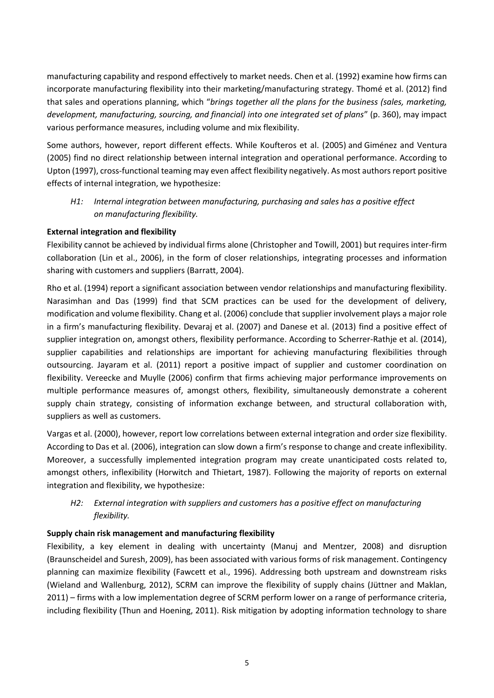manufacturing capability and respond effectively to market needs. Chen et al. (1992) examine how firms can incorporate manufacturing flexibility into their marketing/manufacturing strategy. Thomé et al. (2012) find that sales and operations planning, which "*brings together all the plans for the business (sales, marketing, development, manufacturing, sourcing, and financial) into one integrated set of plans*" (p. 360), may impact various performance measures, including volume and mix flexibility.

Some authors, however, report different effects. While [Koufteros et al. \(2005\)](http://www.sciencedirect.com.zorac.aub.aau.dk/science/article/pii/S0272696309000412#bib44) and [Giménez and Ventura](http://www.sciencedirect.com.zorac.aub.aau.dk/science/article/pii/S0272696309000412#bib28)  [\(2005\)](http://www.sciencedirect.com.zorac.aub.aau.dk/science/article/pii/S0272696309000412#bib28) find no direct relationship between internal integration and operational performance. According to [Upton \(1997\),](http://www.sciencedirect.com.zorac.aub.aau.dk/science/article/pii/S0272696305001476#bib126) cross-functional teaming may even affect flexibility negatively. As most authors report positive effects of internal integration, we hypothesize:

*H1: Internal integration between manufacturing, purchasing and sales has a positive effect on manufacturing flexibility.*

#### **External integration and flexibility**

Flexibility cannot be achieved by individual firms alone (Christopher and Towill, 2001) but requires inter-firm collaboration (Lin et al., 2006), in the form of closer relationships, integrating processes and information sharing with customers and suppliers (Barratt, 2004).

Rho et al. (1994) report a significant association between vendor relationships and manufacturing flexibility. Narasimhan and Das (1999) find that SCM practices can be used for the development of delivery, modification and volume flexibility. Chang et al. (2006) conclude that supplier involvement plays a major role in a firm's manufacturing flexibility. Devaraj et al. (2007) and Danese et al. (2013) find a positive effect of supplier integration on, amongst others, flexibility performance. According to Scherrer-Rathje et al. (2014), supplier capabilities and relationships are important for achieving manufacturing flexibilities through outsourcing. Jayaram et al. (2011) report a positive impact of supplier and customer coordination on flexibility. Vereecke and Muylle (2006) confirm that firms achieving major performance improvements on multiple performance measures of, amongst others, flexibility, simultaneously demonstrate a coherent supply chain strategy, consisting of information exchange between, and structural collaboration with, suppliers as well as customers.

Vargas et al. (2000), however, report low correlations between external integration and order size flexibility. According to Das et al. (2006), integration can slow down a firm's response to change and create inflexibility. Moreover, a successfully implemented integration program may create unanticipated costs related to, amongst others, inflexibility [\(Horwitch and Thietart, 1987\)](http://www.sciencedirect.com.zorac.aub.aau.dk/science/article/pii/S0272696305001476#bib58). Following the majority of reports on external integration and flexibility, we hypothesize:

### *H2: External integration with suppliers and customers has a positive effect on manufacturing flexibility.*

#### **Supply chain risk management and manufacturing flexibility**

Flexibility, a key element in dealing with uncertainty (Manuj and Mentzer, 2008) and disruption (Braunscheidel and Suresh, 2009), has been associated with various forms of risk management. Contingency planning can maximize flexibility (Fawcett et al., 1996). Addressing both upstream and downstream risks (Wieland and Wallenburg, 2012), SCRM can improve the flexibility of supply chains (Jüttner and Maklan, 2011) – firms with a low implementation degree of SCRM perform lower on a range of performance criteria, including flexibility (Thun and Hoening, 2011). Risk mitigation by adopting information technology to share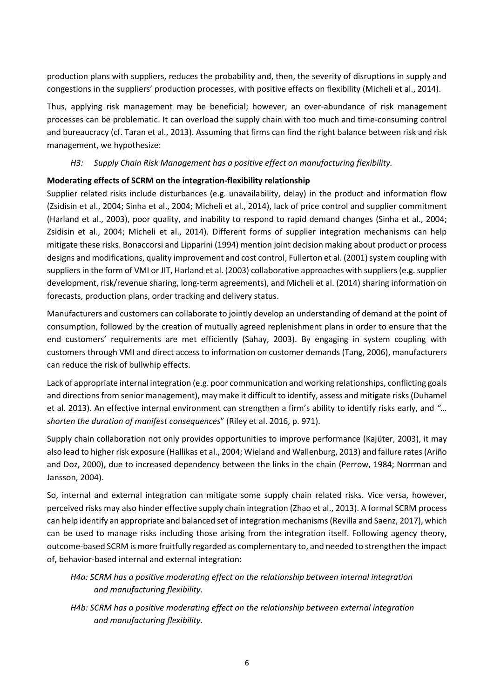production plans with suppliers, reduces the probability and, then, the severity of disruptions in supply and congestions in the suppliers' production processes, with positive effects on flexibility (Micheli et al., 2014).

Thus, applying risk management may be beneficial; however, an over-abundance of risk management processes can be problematic. It can overload the supply chain with too much and time-consuming control and bureaucracy (cf. Taran et al., 2013). Assuming that firms can find the right balance between risk and risk management, we hypothesize:

#### *H3: Supply Chain Risk Management has a positive effect on manufacturing flexibility.*

#### **Moderating effects of SCRM on the integration-flexibility relationship**

Supplier related risks include disturbances (e.g. unavailability, delay) in the product and information flow (Zsidisin et al., 2004; Sinha et al., 2004; Micheli et al., 2014), lack of price control and supplier commitment (Harland et al., 2003), poor quality, and inability to respond to rapid demand changes (Sinha et al., 2004; Zsidisin et al., 2004; Micheli et al., 2014). Different forms of supplier integration mechanisms can help mitigate these risks. Bonaccorsi and Lipparini (1994) mention joint decision making about product or process designs and modifications, quality improvement and cost control, Fullerton et al. (2001) system coupling with suppliers in the form of VMI or JIT, Harland et al. (2003) collaborative approaches with suppliers (e.g. supplier development, risk/revenue sharing, long-term agreements), and Micheli et al. (2014) sharing information on forecasts, production plans, order tracking and delivery status.

Manufacturers and customers can collaborate to jointly develop an understanding of demand at the point of consumption, followed by the creation of mutually agreed replenishment plans in order to ensure that the end customers' requirements are met efficiently (Sahay, 2003). By engaging in system coupling with customers through VMI and direct access to information on customer demands (Tang, 2006), manufacturers can reduce the risk of bullwhip effects.

Lack of appropriate internal integration (e.g. poor communication and working relationships, conflicting goals and directions from senior management), may make it difficult to identify, assess and mitigate risks (Duhamel et al. 2013). An effective internal environment can strengthen a firm's ability to identify risks early, and *"… shorten the duration of manifest consequences*" (Riley et al. 2016, p. 971).

Supply chain collaboration not only provides opportunities to improve performance (Kajüter, 2003), it may also lead to higher risk exposure (Hallikas et al., 2004; Wieland and Wallenburg, 2013) and failure rates (Ariño and Doz, 2000), due to increased dependency between the links in the chain (Perrow, 1984; Norrman and Jansson, 2004).

So, internal and external integration can mitigate some supply chain related risks. Vice versa, however, perceived risks may also hinder effective supply chain integration (Zhao et al., 2013). A formal SCRM process can help identify an appropriate and balanced set of integration mechanisms (Revilla and Saenz, 2017), which can be used to manage risks including those arising from the integration itself. Following agency theory, outcome-based SCRM is more fruitfully regarded as complementary to, and needed to strengthen the impact of, behavior-based internal and external integration:

### *H4a: SCRM has a positive moderating effect on the relationship between internal integration and manufacturing flexibility.*

*H4b: SCRM has a positive moderating effect on the relationship between external integration and manufacturing flexibility.*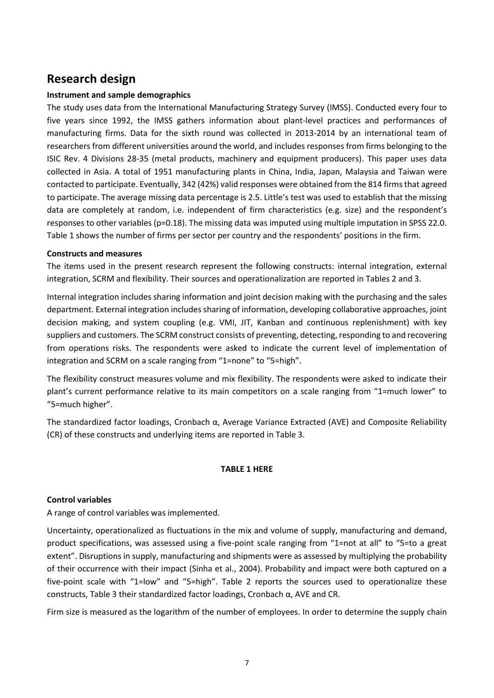# **Research design**

#### **Instrument and sample demographics**

The study uses data from the International Manufacturing Strategy Survey (IMSS). Conducted every four to five years since 1992, the IMSS gathers information about plant-level practices and performances of manufacturing firms. Data for the sixth round was collected in 2013-2014 by an international team of researchers from different universities around the world, and includes responses from firms belonging to the ISIC Rev. 4 Divisions 28-35 (metal products, machinery and equipment producers). This paper uses data collected in Asia. A total of 1951 manufacturing plants in China, India, Japan, Malaysia and Taiwan were contacted to participate. Eventually, 342 (42%) valid responses were obtained from the 814 firms that agreed to participate. The average missing data percentage is 2.5. Little's test was used to establish that the missing data are completely at random, i.e. independent of firm characteristics (e.g. size) and the respondent's responses to other variables (p=0.18). The missing data was imputed using multiple imputation in SPSS 22.0. Table 1 shows the number of firms per sector per country and the respondents' positions in the firm.

#### **Constructs and measures**

The items used in the present research represent the following constructs: internal integration, external integration, SCRM and flexibility. Their sources and operationalization are reported in Tables 2 and 3.

Internal integration includes sharing information and joint decision making with the purchasing and the sales department. External integration includes sharing of information, developing collaborative approaches, joint decision making, and system coupling (e.g. VMI, JIT, Kanban and continuous replenishment) with key suppliers and customers. The SCRM construct consists of preventing, detecting, responding to and recovering from operations risks. The respondents were asked to indicate the current level of implementation of integration and SCRM on a scale ranging from "1=none" to "5=high".

The flexibility construct measures volume and mix flexibility. The respondents were asked to indicate their plant's current performance relative to its main competitors on a scale ranging from "1=much lower" to "5=much higher".

The standardized factor loadings, Cronbach α, Average Variance Extracted (AVE) and Composite Reliability (CR) of these constructs and underlying items are reported in Table 3.

#### **TABLE 1 HERE**

#### **Control variables**

A range of control variables was implemented.

Uncertainty, operationalized as fluctuations in the mix and volume of supply, manufacturing and demand, product specifications, was assessed using a five-point scale ranging from "1=not at all" to "5=to a great extent". Disruptions in supply, manufacturing and shipments were as assessed by multiplying the probability of their occurrence with their impact (Sinha et al., 2004). Probability and impact were both captured on a five-point scale with "1=low" and "5=high". Table 2 reports the sources used to operationalize these constructs, Table 3 their standardized factor loadings, Cronbach α, AVE and CR.

Firm size is measured as the logarithm of the number of employees. In order to determine the supply chain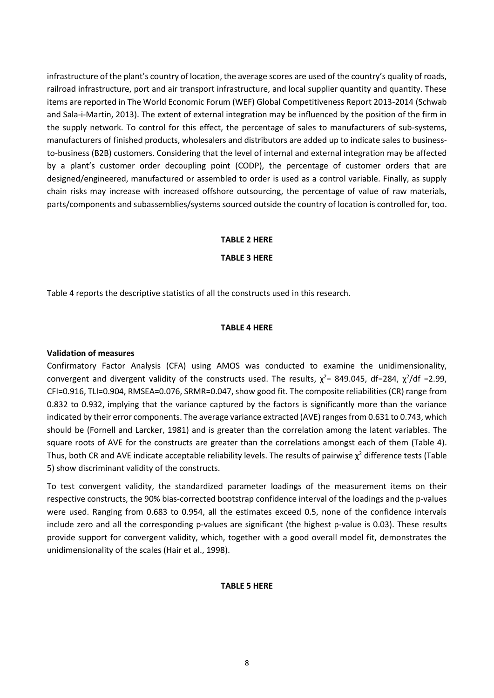infrastructure of the plant's country of location, the average scores are used of the country's quality of roads, railroad infrastructure, port and air transport infrastructure, and local supplier quantity and quantity. These items are reported in The World Economic Forum (WEF) Global Competitiveness Report 2013-2014 (Schwab and Sala-i-Martin, 2013). The extent of external integration may be influenced by the position of the firm in the supply network. To control for this effect, the percentage of sales to manufacturers of sub-systems, manufacturers of finished products, wholesalers and distributors are added up to indicate sales to businessto-business (B2B) customers. Considering that the level of internal and external integration may be affected by a plant's customer order decoupling point (CODP), the percentage of customer orders that are designed/engineered, manufactured or assembled to order is used as a control variable. Finally, as supply chain risks may increase with increased offshore outsourcing, the percentage of value of raw materials, parts/components and subassemblies/systems sourced outside the country of location is controlled for, too.

#### **TABLE 2 HERE**

**TABLE 3 HERE**

Table 4 reports the descriptive statistics of all the constructs used in this research.

#### **TABLE 4 HERE**

#### **Validation of measures**

Confirmatory Factor Analysis (CFA) using AMOS was conducted to examine the unidimensionality, convergent and divergent validity of the constructs used. The results,  $\chi^2$  = 849.045, df=284,  $\chi^2$ /df =2.99, CFI=0.916, TLI=0.904, RMSEA=0.076, SRMR=0.047, show good fit. The composite reliabilities (CR) range from 0.832 to 0.932, implying that the variance captured by the factors is significantly more than the variance indicated by their error components. The average variance extracted (AVE) ranges from 0.631 to 0.743, which should be (Fornell and Larcker, 1981) and is greater than the correlation among the latent variables. The square roots of AVE for the constructs are greater than the correlations amongst each of them (Table 4). Thus, both CR and AVE indicate acceptable reliability levels. The results of pairwise  $\chi^2$  difference tests (Table 5) show discriminant validity of the constructs.

To test convergent validity, the standardized parameter loadings of the measurement items on their respective constructs, the 90% bias-corrected bootstrap confidence interval of the loadings and the p-values were used. Ranging from 0.683 to 0.954, all the estimates exceed 0.5, none of the confidence intervals include zero and all the corresponding p-values are significant (the highest p-value is 0.03). These results provide support for convergent validity, which, together with a good overall model fit, demonstrates the unidimensionality of the scales (Hair et al., 1998).

#### **TABLE 5 HERE**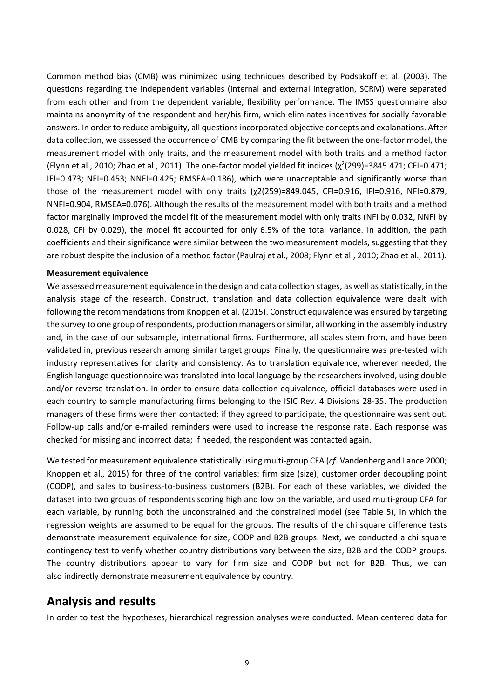Common method bias (CMB) was minimized using techniques described by Podsakoff et al. (2003). The questions regarding the independent variables (internal and external integration, SCRM) were separated from each other and from the dependent variable, flexibility performance. The IMSS questionnaire also maintains anonymity of the respondent and her/his firm, which eliminates incentives for socially favorable answers. In order to reduce ambiguity, all questions incorporated objective concepts and explanations. After data collection, we assessed the occurrence of CMB by comparing the fit between the one-factor model, the measurement model with only traits, and the measurement model with both traits and a method factor (Flynn et al., 2010; Zhao et al., 2011). The one-factor model yielded fit indices ( $\chi^2$ (299)=3845.471; CFI=0.471; IFI=0.473; NFI=0.453; NNFI=0.425; RMSEA=0.186), which were unacceptable and significantly worse than those of the measurement model with only traits ( $χ2(259)=849.045$ , CFI=0.916, IFI=0.916, NFI=0.879, NNFI=0.904, RMSEA=0.076). Although the results of the measurement model with both traits and a method factor marginally improved the model fit of the measurement model with only traits (NFI by 0.032, NNFI by 0.028, CFI by 0.029), the model fit accounted for only 6.5% of the total variance. In addition, the path coefficients and their significance were similar between the two measurement models, suggesting that they are robust despite the inclusion of a method factor (Paulraj et al., 2008; Flynn et al., 2010; Zhao et al., 2011).

#### **Measurement equivalence**

We assessed measurement equivalence in the design and data collection stages, as well as statistically, in the analysis stage of the research. Construct, translation and data collection equivalence were dealt with following the recommendations from Knoppen et al. (2015). Construct equivalence was ensured by targeting the survey to one group of respondents, production managers or similar, all working in the assembly industry and, in the case of our subsample, international firms. Furthermore, all scales stem from, and have been validated in, previous research among similar target groups. Finally, the questionnaire was pre-tested with industry representatives for clarity and consistency. As to translation equivalence, wherever needed, the English language questionnaire was translated into local language by the researchers involved, using double and/or reverse translation. In order to ensure data collection equivalence, official databases were used in each country to sample manufacturing firms belonging to the ISIC Rev. 4 Divisions 28-35. The production managers of these firms were then contacted; if they agreed to participate, the questionnaire was sent out. Follow-up calls and/or e-mailed reminders were used to increase the response rate. Each response was checked for missing and incorrect data; if needed, the respondent was contacted again.

We tested for measurement equivalence statistically using multi-group CFA (*cf.* Vandenberg and Lance 2000; Knoppen et al., 2015) for three of the control variables: firm size (size), customer order decoupling point (CODP), and sales to business-to-business customers (B2B). For each of these variables, we divided the dataset into two groups of respondents scoring high and low on the variable, and used multi-group CFA for each variable, by running both the unconstrained and the constrained model (see Table 5), in which the regression weights are assumed to be equal for the groups. The results of the chi square difference tests demonstrate measurement equivalence for size, CODP and B2B groups. Next, we conducted a chi square contingency test to verify whether country distributions vary between the size, B2B and the CODP groups. The country distributions appear to vary for firm size and CODP but not for B2B. Thus, we can also indirectly demonstrate measurement equivalence by country.

## **Analysis and results**

In order to test the hypotheses, hierarchical regression analyses were conducted. Mean centered data for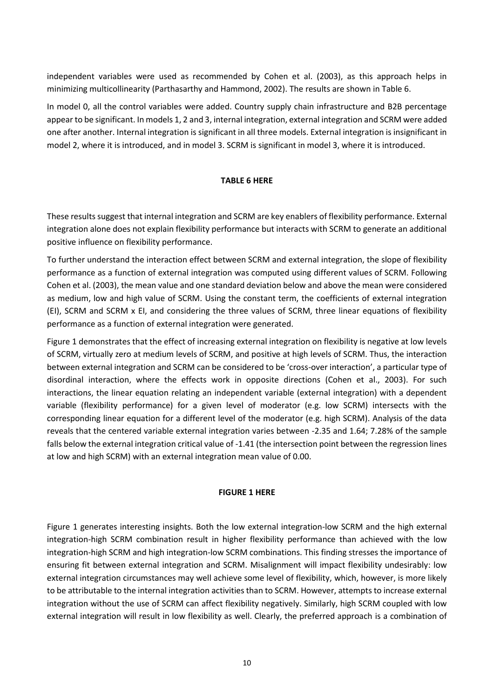independent variables were used as recommended by Cohen et al. (2003), as this approach helps in minimizing multicollinearity (Parthasarthy and Hammond, 2002). The results are shown in Table 6.

In model 0, all the control variables were added. Country supply chain infrastructure and B2B percentage appear to be significant. In models 1, 2 and 3, internal integration, external integration and SCRM were added one after another. Internal integration is significant in all three models. External integration is insignificant in model 2, where it is introduced, and in model 3. SCRM is significant in model 3, where it is introduced.

#### **TABLE 6 HERE**

These results suggest that internal integration and SCRM are key enablers of flexibility performance. External integration alone does not explain flexibility performance but interacts with SCRM to generate an additional positive influence on flexibility performance.

To further understand the interaction effect between SCRM and external integration, the slope of flexibility performance as a function of external integration was computed using different values of SCRM. Following Cohen et al. (2003), the mean value and one standard deviation below and above the mean were considered as medium, low and high value of SCRM. Using the constant term, the coefficients of external integration (EI), SCRM and SCRM x EI, and considering the three values of SCRM, three linear equations of flexibility performance as a function of external integration were generated.

Figure 1 demonstrates that the effect of increasing external integration on flexibility is negative at low levels of SCRM, virtually zero at medium levels of SCRM, and positive at high levels of SCRM. Thus, the interaction between external integration and SCRM can be considered to be 'cross-over interaction', a particular type of disordinal interaction, where the effects work in opposite directions (Cohen et al., 2003). For such interactions, the linear equation relating an independent variable (external integration) with a dependent variable (flexibility performance) for a given level of moderator (e.g. low SCRM) intersects with the corresponding linear equation for a different level of the moderator (e.g. high SCRM). Analysis of the data reveals that the centered variable external integration varies between -2.35 and 1.64; 7.28% of the sample falls below the external integration critical value of -1.41 (the intersection point between the regression lines at low and high SCRM) with an external integration mean value of 0.00.

#### **FIGURE 1 HERE**

Figure 1 generates interesting insights. Both the low external integration-low SCRM and the high external integration-high SCRM combination result in higher flexibility performance than achieved with the low integration-high SCRM and high integration-low SCRM combinations. This finding stresses the importance of ensuring fit between external integration and SCRM. Misalignment will impact flexibility undesirably: low external integration circumstances may well achieve some level of flexibility, which, however, is more likely to be attributable to the internal integration activities than to SCRM. However, attempts to increase external integration without the use of SCRM can affect flexibility negatively. Similarly, high SCRM coupled with low external integration will result in low flexibility as well. Clearly, the preferred approach is a combination of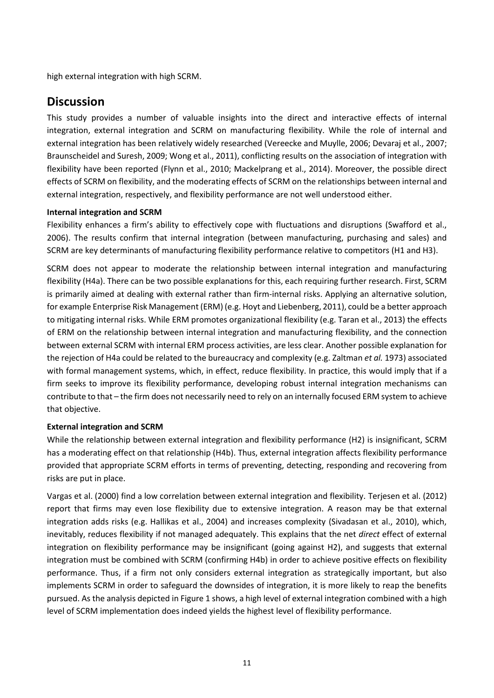high external integration with high SCRM.

## **Discussion**

This study provides a number of valuable insights into the direct and interactive effects of internal integration, external integration and SCRM on manufacturing flexibility. While the role of internal and external integration has been relatively widely researched (Vereecke and Muylle, 2006; Devaraj et al., 2007; Braunscheidel and Suresh, 2009; Wong et al., 2011), conflicting results on the association of integration with flexibility have been reported (Flynn et al., 2010; Mackelprang et al., 2014). Moreover, the possible direct effects of SCRM on flexibility, and the moderating effects of SCRM on the relationships between internal and external integration, respectively, and flexibility performance are not well understood either.

#### **Internal integration and SCRM**

Flexibility enhances a firm's ability to effectively cope with fluctuations and disruptions (Swafford et al., 2006). The results confirm that internal integration (between manufacturing, purchasing and sales) and SCRM are key determinants of manufacturing flexibility performance relative to competitors (H1 and H3).

SCRM does not appear to moderate the relationship between internal integration and manufacturing flexibility (H4a). There can be two possible explanations for this, each requiring further research. First, SCRM is primarily aimed at dealing with external rather than firm-internal risks. Applying an alternative solution, for example Enterprise Risk Management (ERM) (e.g. Hoyt and Liebenberg, 2011), could be a better approach to mitigating internal risks. While ERM promotes organizational flexibility (e.g. Taran et al., 2013) the effects of ERM on the relationship between internal integration and manufacturing flexibility, and the connection between external SCRM with internal ERM process activities, are less clear. Another possible explanation for the rejection of H4a could be related to the bureaucracy and complexity (e.g. Zaltman *et al.* 1973) associated with formal management systems, which, in effect, reduce flexibility. In practice, this would imply that if a firm seeks to improve its flexibility performance, developing robust internal integration mechanisms can contribute to that – the firm does not necessarily need to rely on an internally focused ERM system to achieve that objective.

#### **External integration and SCRM**

While the relationship between external integration and flexibility performance (H2) is insignificant, SCRM has a moderating effect on that relationship (H4b). Thus, external integration affects flexibility performance provided that appropriate SCRM efforts in terms of preventing, detecting, responding and recovering from risks are put in place.

Vargas et al. (2000) find a low correlation between external integration and flexibility. Terjesen et al. (2012) report that firms may even lose flexibility due to extensive integration. A reason may be that external integration adds risks (e.g. Hallikas et al., 2004) and increases complexity (Sivadasan et al., 2010), which, inevitably, reduces flexibility if not managed adequately. This explains that the net *direct* effect of external integration on flexibility performance may be insignificant (going against H2), and suggests that external integration must be combined with SCRM (confirming H4b) in order to achieve positive effects on flexibility performance. Thus, if a firm not only considers external integration as strategically important, but also implements SCRM in order to safeguard the downsides of integration, it is more likely to reap the benefits pursued. As the analysis depicted in Figure 1 shows, a high level of external integration combined with a high level of SCRM implementation does indeed yields the highest level of flexibility performance.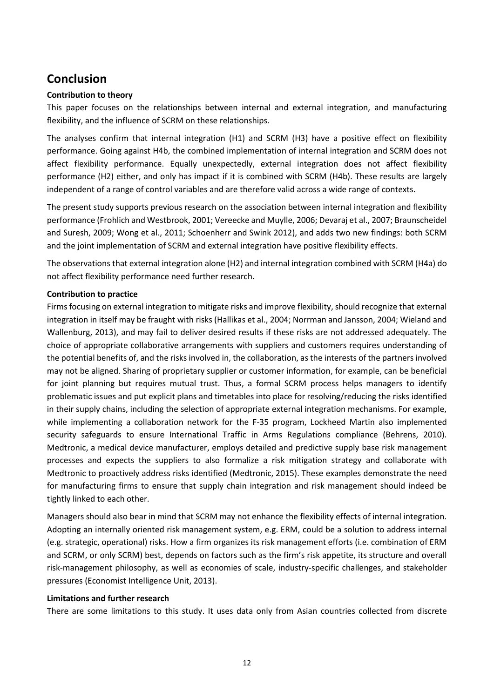# **Conclusion**

#### **Contribution to theory**

This paper focuses on the relationships between internal and external integration, and manufacturing flexibility, and the influence of SCRM on these relationships.

The analyses confirm that internal integration (H1) and SCRM (H3) have a positive effect on flexibility performance. Going against H4b, the combined implementation of internal integration and SCRM does not affect flexibility performance. Equally unexpectedly, external integration does not affect flexibility performance (H2) either, and only has impact if it is combined with SCRM (H4b). These results are largely independent of a range of control variables and are therefore valid across a wide range of contexts.

The present study supports previous research on the association between internal integration and flexibility performance (Frohlich and Westbrook, 2001; Vereecke and Muylle, 2006; Devaraj et al., 2007; Braunscheidel and Suresh, 2009; Wong et al., 2011; Schoenherr and Swink 2012), and adds two new findings: both SCRM and the joint implementation of SCRM and external integration have positive flexibility effects.

The observations that external integration alone (H2) and internal integration combined with SCRM (H4a) do not affect flexibility performance need further research.

#### **Contribution to practice**

Firms focusing on external integration to mitigate risks and improve flexibility, should recognize that external integration in itself may be fraught with risks (Hallikas et al., 2004; Norrman and Jansson, 2004; Wieland and Wallenburg, 2013), and may fail to deliver desired results if these risks are not addressed adequately. The choice of appropriate collaborative arrangements with suppliers and customers requires understanding of the potential benefits of, and the risks involved in, the collaboration, as the interests of the partners involved may not be aligned. Sharing of proprietary supplier or customer information, for example, can be beneficial for joint planning but requires mutual trust. Thus, a formal SCRM process helps managers to identify problematic issues and put explicit plans and timetables into place for resolving/reducing the risks identified in their supply chains, including the selection of appropriate external integration mechanisms. For example, while implementing a collaboration network for the F-35 program, Lockheed Martin also implemented security safeguards to ensure International Traffic in Arms Regulations compliance (Behrens, 2010). Medtronic, a medical device manufacturer, employs detailed and predictive supply base risk management processes and expects the suppliers to also formalize a risk mitigation strategy and collaborate with Medtronic to proactively address risks identified (Medtronic, 2015). These examples demonstrate the need for manufacturing firms to ensure that supply chain integration and risk management should indeed be tightly linked to each other.

Managers should also bear in mind that SCRM may not enhance the flexibility effects of internal integration. Adopting an internally oriented risk management system, e.g. ERM, could be a solution to address internal (e.g. strategic, operational) risks. How a firm organizes its risk management efforts (i.e. combination of ERM and SCRM, or only SCRM) best, depends on factors such as the firm's risk appetite, its structure and overall risk-management philosophy, as well as economies of scale, industry-specific challenges, and stakeholder pressures (Economist Intelligence Unit, 2013).

#### **Limitations and further research**

There are some limitations to this study. It uses data only from Asian countries collected from discrete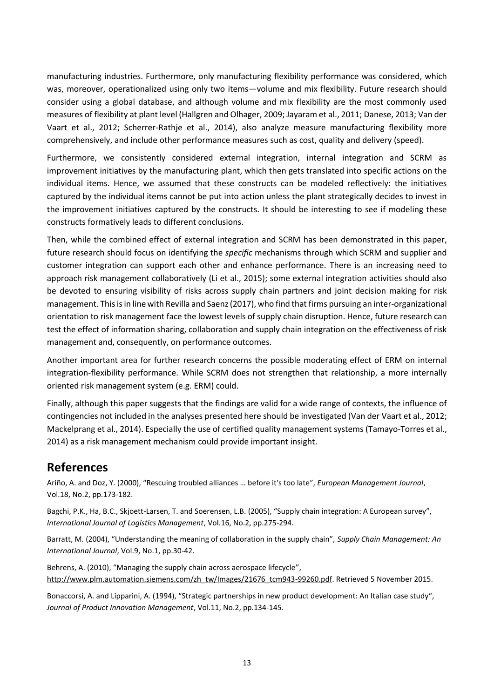manufacturing industries. Furthermore, only manufacturing flexibility performance was considered, which was, moreover, operationalized using only two items—volume and mix flexibility. Future research should consider using a global database, and although volume and mix flexibility are the most commonly used measures of flexibility at plant level (Hallgren and Olhager, 2009; Jayaram et al., 2011; Danese, 2013; Van der Vaart et al., 2012; Scherrer-Rathje et al., 2014), also analyze measure manufacturing flexibility more comprehensively, and include other performance measures such as cost, quality and delivery (speed).

Furthermore, we consistently considered external integration, internal integration and SCRM as improvement initiatives by the manufacturing plant, which then gets translated into specific actions on the individual items. Hence, we assumed that these constructs can be modeled reflectively: the initiatives captured by the individual items cannot be put into action unless the plant strategically decides to invest in the improvement initiatives captured by the constructs. It should be interesting to see if modeling these constructs formatively leads to different conclusions.

Then, while the combined effect of external integration and SCRM has been demonstrated in this paper, future research should focus on identifying the *specific* mechanisms through which SCRM and supplier and customer integration can support each other and enhance performance. There is an increasing need to approach risk management collaboratively (Li et al., 2015); some external integration activities should also be devoted to ensuring visibility of risks across supply chain partners and joint decision making for risk management. This is in line with Revilla and Saenz (2017), who find that firms pursuing an inter-organizational orientation to risk management face the lowest levels of supply chain disruption. Hence, future research can test the effect of information sharing, collaboration and supply chain integration on the effectiveness of risk management and, consequently, on performance outcomes.

Another important area for further research concerns the possible moderating effect of ERM on internal integration-flexibility performance. While SCRM does not strengthen that relationship, a more internally oriented risk management system (e.g. ERM) could.

Finally, although this paper suggests that the findings are valid for a wide range of contexts, the influence of contingencies not included in the analyses presented here should be investigated (Van der Vaart et al., 2012; Mackelprang et al., 2014). Especially the use of certified quality management systems (Tamayo-Torres et al., 2014) as a risk management mechanism could provide important insight.

# **References**

Ariño, A. and Doz, Y. (2000), "Rescuing troubled alliances … before it's too late", *European Management Journal*, Vol.18, No.2, pp.173-182.

Bagchi, P.K., Ha, B.C., Skjoett-Larsen, T. and Soerensen, L.B. (2005), "Supply chain integration: A European survey", *International Journal of Logistics Management*, Vol.16, No.2, pp.275-294.

Barratt, M. (2004), "Understanding the meaning of collaboration in the supply chain", *Supply Chain Management: An International Journal*, Vol.9, No.1, pp.30-42.

Behrens, A. (2010), "Managing the supply chain across aerospace lifecycle", [http://www.plm.automation.siemens.com/zh\\_tw/Images/21676\\_tcm943-99260.pdf.](http://www.plm.automation.siemens.com/zh_tw/Images/21676_tcm943-99260.pdf) Retrieved 5 November 2015.

Bonaccorsi, A. and Lipparini, A. (1994), "Strategic partnerships in new product development: An Italian case study", *Journal of Product Innovation Management*, Vol.11, No.2, pp.134-145.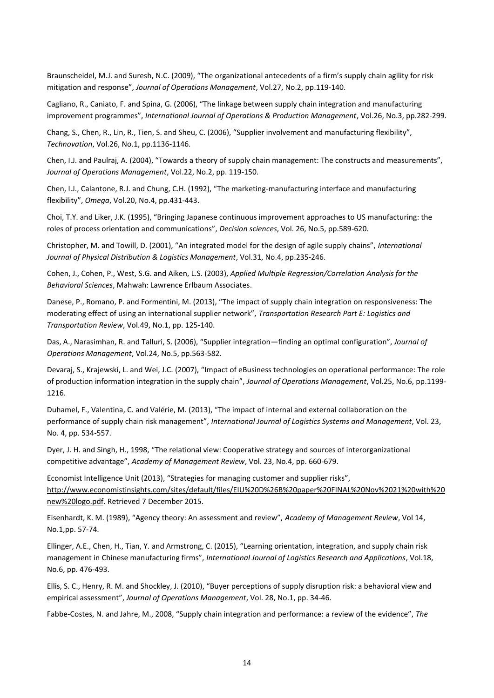Braunscheidel, M.J. and Suresh, N.C. (2009), "The organizational antecedents of a firm's supply chain agility for risk mitigation and response", *Journal of Operations Management*, Vol.27, No.2, pp.119-140.

Cagliano, R., Caniato, F. and Spina, G. (2006), "The linkage between supply chain integration and manufacturing improvement programmes", *International Journal of Operations & Production Management*, Vol.26, No.3, pp.282-299.

Chang, S., Chen, R., Lin, R., Tien, S. and Sheu, C. (2006), "Supplier involvement and manufacturing flexibility", *Technovation*, Vol.26, No.1, pp.1136-1146.

Chen, I.J. and Paulraj, A. (2004), "Towards a theory of supply chain management: The constructs and measurements", *Journal of Operations Management*, Vol.22, No.2, pp. 119-150.

Chen, I.J., Calantone, R.J. and Chung, C.H. (1992), "The marketing-manufacturing interface and manufacturing flexibility", *Omega*, Vol.20, No.4, pp.431-443.

Choi, T.Y. and Liker, J.K. (1995), "Bringing Japanese continuous improvement approaches to US manufacturing: the roles of process orientation and communications", *Decision sciences*, Vol. 26, No.5, pp.589-620.

Christopher, M. and Towill, D. (2001), "An integrated model for the design of agile supply chains", *International Journal of Physical Distribution & Logistics Management*, Vol.31, No.4, pp.235-246.

Cohen, J., Cohen, P., West, S.G. and Aiken, L.S. (2003), *Applied Multiple Regression/Correlation Analysis for the Behavioral Sciences*, Mahwah: Lawrence Erlbaum Associates.

Danese, P., Romano, P. and Formentini, M. (2013), "The impact of supply chain integration on responsiveness: The moderating effect of using an international supplier network", *Transportation Research Part E: Logistics and Transportation Review*, Vol.49, No.1, pp. 125-140.

Das, A., Narasimhan, R. and Talluri, S. (2006), "Supplier integration—finding an optimal configuration", *Journal of Operations Management*, Vol.24, No.5, pp.563-582.

Devaraj, S., Krajewski, L. and Wei, J.C. (2007), "Impact of eBusiness technologies on operational performance: The role of production information integration in the supply chain", *Journal of Operations Management*, Vol.25, No.6, pp.1199- 1216.

Duhamel, F., Valentina, C. and Valérie, M. (2013), "The impact of internal and external collaboration on the performance of supply chain risk management", *International Journal of Logistics Systems and Management*, Vol. 23, No. 4, pp. 534-557.

Dyer, J. H. and Singh, H., 1998, "The relational view: Cooperative strategy and sources of interorganizational competitive advantage", *Academy of Management Review*, Vol. 23, No.4, pp. 660-679.

Economist Intelligence Unit (2013), "Strategies for managing customer and supplier risks", [http://www.economistinsights.com/sites/default/files/EIU%20D%26B%20paper%20FINAL%20Nov%2021%20with%20](http://www.economistinsights.com/sites/default/files/EIU%20D%26B%20paper%20FINAL%20Nov%2021%20with%20new%20logo.pdf) [new%20logo.pdf.](http://www.economistinsights.com/sites/default/files/EIU%20D%26B%20paper%20FINAL%20Nov%2021%20with%20new%20logo.pdf) Retrieved 7 December 2015.

Eisenhardt, K. M. (1989), "Agency theory: An assessment and review", *Academy of Management Review*, Vol 14, No.1,pp. 57-74.

Ellinger, A.E., Chen, H., Tian, Y. and Armstrong, C. (2015), "Learning orientation, integration, and supply chain risk management in Chinese manufacturing firms", *International Journal of Logistics Research and Applications*, Vol.18, No.6, pp. 476-493.

Ellis, S. C., Henry, R. M. and Shockley, J. (2010), "Buyer perceptions of supply disruption risk: a behavioral view and empirical assessment", *Journal of Operations Management*, Vol. 28, No.1, pp. 34-46.

Fabbe-Costes, N. and Jahre, M., 2008, "Supply chain integration and performance: a review of the evidence", *The*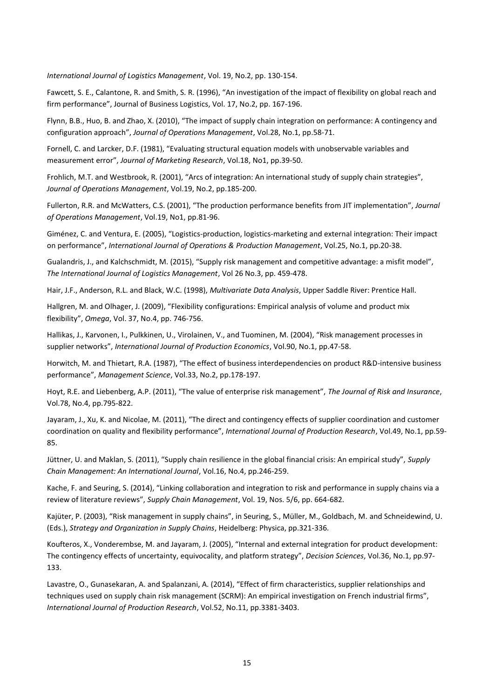*International Journal of Logistics Management*, Vol. 19, No.2, pp. 130-154.

Fawcett, S. E., Calantone, R. and Smith, S. R. (1996), "An investigation of the impact of flexibility on global reach and firm performance", Journal of Business Logistics, Vol. 17, No.2, pp. 167-196.

Flynn, B.B., Huo, B. and Zhao, X. (2010), "The impact of supply chain integration on performance: A contingency and configuration approach", *Journal of Operations Management*, Vol.28, No.1, pp.58-71.

Fornell, C. and Larcker, D.F. (1981), "Evaluating structural equation models with unobservable variables and measurement error", *Journal of Marketing Research*, Vol.18, No1, pp.39-50.

Frohlich, M.T. and Westbrook, R. (2001), "Arcs of integration: An international study of supply chain strategies", *Journal of Operations Management*, Vol.19, No.2, pp.185-200.

Fullerton, R.R. and McWatters, C.S. (2001), "The production performance benefits from JIT implementation", *Journal of Operations Management*, Vol.19, No1, pp.81-96.

Giménez, C. and Ventura, E. (2005), "Logistics-production, logistics-marketing and external integration: Their impact on performance", *International Journal of Operations & Production Management*, Vol.25, No.1, pp.20-38.

Gualandris, J., and Kalchschmidt, M. (2015), "Supply risk management and competitive advantage: a misfit model", *The International Journal of Logistics Management*, Vol 26 No.3, pp. 459-478.

Hair, J.F., Anderson, R.L. and Black, W.C. (1998), *Multivariate Data Analysis*, Upper Saddle River: Prentice Hall.

Hallgren, M. and Olhager, J. (2009), "Flexibility configurations: Empirical analysis of volume and product mix flexibility", *Omega*, Vol. 37, No.4, pp. 746-756.

Hallikas, J., Karvonen, I., Pulkkinen, U., Virolainen, V., and Tuominen, M. (2004), "Risk management processes in supplier networks", *International Journal of Production Economics*, Vol.90, No.1, pp.47-58.

Horwitch, M. and Thietart, R.A. (1987), "The effect of business interdependencies on product R&D-intensive business performance", *Management Science*, Vol.33, No.2, pp.178-197.

Hoyt, R.E. and Liebenberg, A.P. (2011), "The value of enterprise risk management", *The Journal of Risk and Insurance*, Vol.78, No.4, pp.795-822.

Jayaram, J., Xu, K. and Nicolae, M. (2011), "The direct and contingency effects of supplier coordination and customer coordination on quality and flexibility performance", *International Journal of Production Research*, Vol.49, No.1, pp.59- 85.

Jüttner, U. and Maklan, S. (2011), "Supply chain resilience in the global financial crisis: An empirical study", *Supply Chain Management: An International Journal*, Vol.16, No.4, pp.246-259.

Kache, F. and Seuring, S. (2014), "Linking collaboration and integration to risk and performance in supply chains via a review of literature reviews", *Supply Chain Management*, Vol. 19, Nos. 5/6, pp. 664-682.

Kajüter, P. (2003), "Risk management in supply chains", in Seuring, S., Müller, M., Goldbach, M. and Schneidewind, U. (Eds.), *Strategy and Organization in Supply Chains*, Heidelberg: Physica, pp.321-336.

Koufteros, X., Vonderembse, M. and Jayaram, J. (2005), "Internal and external integration for product development: The contingency effects of uncertainty, equivocality, and platform strategy", *Decision Sciences*, Vol.36, No.1, pp.97- 133.

Lavastre, O., Gunasekaran, A. and Spalanzani, A. (2014), "Effect of firm characteristics, supplier relationships and techniques used on supply chain risk management (SCRM): An empirical investigation on French industrial firms", *International Journal of Production Research*, Vol.52, No.11, pp.3381-3403.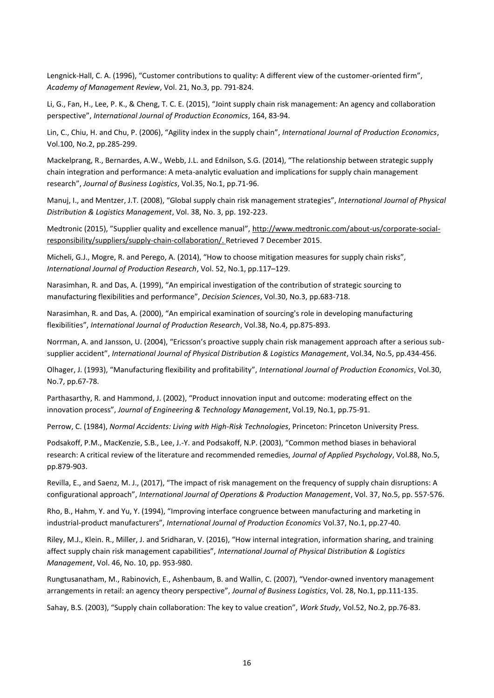Lengnick-Hall, C. A. (1996), "Customer contributions to quality: A different view of the customer-oriented firm", *Academy of Management Review*, Vol. 21, No.3, pp. 791-824.

Li, G., Fan, H., Lee, P. K., & Cheng, T. C. E. (2015), "Joint supply chain risk management: An agency and collaboration perspective", *International Journal of Production Economics*, 164, 83-94.

Lin, C., Chiu, H. and Chu, P. (2006), "Agility index in the supply chain", *International Journal of Production Economics*, Vol.100, No.2, pp.285-299.

Mackelprang, R., Bernardes, A.W., Webb, J.L. and Ednilson, S.G. (2014), "The relationship between strategic supply chain integration and performance: A meta-analytic evaluation and implications for supply chain management research", *Journal of Business Logistics*, Vol.35, No.1, pp.71-96.

Manuj, I., and Mentzer, J.T. (2008), "Global supply chain risk management strategies", *International Journal of Physical Distribution & Logistics Management*, Vol. 38, No. 3, pp. 192-223.

Medtronic (2015), "Supplier quality and excellence manual", [http://www.medtronic.com/about-us/corporate-social](http://www.medtronic.com/about-us/corporate-social-responsibility/suppliers/supply-chain-collaboration/)[responsibility/suppliers/supply-chain-collaboration/.](http://www.medtronic.com/about-us/corporate-social-responsibility/suppliers/supply-chain-collaboration/) Retrieved 7 December 2015.

Micheli, G.J., Mogre, R. and Perego, A. (2014), "How to choose mitigation measures for supply chain risks", *International Journal of Production Research*, Vol. 52, No.1, pp.117–129.

Narasimhan, R. and Das, A. (1999), "An empirical investigation of the contribution of strategic sourcing to manufacturing flexibilities and performance", *Decision Sciences*, Vol.30, No.3, pp.683-718.

Narasimhan, R. and Das, A. (2000), "An empirical examination of sourcing's role in developing manufacturing flexibilities", *International Journal of Production Research*, Vol.38, No.4, pp.875-893.

Norrman, A. and Jansson, U. (2004), "Ericsson's proactive supply chain risk management approach after a serious subsupplier accident", *International Journal of Physical Distribution & Logistics Management*, Vol.34, No.5, pp.434-456.

Olhager, J. (1993), "Manufacturing flexibility and profitability", *International Journal of Production Economics*, Vol.30, No.7, pp.67-78.

Parthasarthy, R. and Hammond, J. (2002), "Product innovation input and outcome: moderating effect on the innovation process", *Journal of Engineering & Technology Management*, Vol.19, No.1, pp.75-91.

Perrow, C. (1984), *Normal Accidents: Living with High-Risk Technologies*, Princeton: Princeton University Press.

Podsakoff, P.M., MacKenzie, S.B., Lee, J.-Y. and Podsakoff, N.P. (2003), "Common method biases in behavioral research: A critical review of the literature and recommended remedies, *Journal of Applied Psychology*, Vol.88, No.5, pp.879-903.

Revilla, E., and Saenz, M. J., (2017), "The impact of risk management on the frequency of supply chain disruptions: A configurational approach", *International Journal of Operations & Production Management*, Vol. 37, No.5, pp. 557-576.

Rho, B., Hahm, Y. and Yu, Y. (1994), "Improving interface congruence between manufacturing and marketing in industrial-product manufacturers", *International Journal of Production Economics* Vol.37, No.1, pp.27-40.

Riley, M.J., Klein. R., Miller, J. and Sridharan, V. (2016), "How internal integration, information sharing, and training affect supply chain risk management capabilities", *International Journal of Physical Distribution & Logistics Management*, Vol. 46, No. 10, pp. 953-980.

Rungtusanatham, M., Rabinovich, E., Ashenbaum, B. and Wallin, C. (2007), "Vendor‐owned inventory management arrangements in retail: an agency theory perspective", *Journal of Business Logistics*, Vol. 28, No.1, pp.111-135.

Sahay, B.S. (2003), "Supply chain collaboration: The key to value creation", *Work Study*, Vol.52, No.2, pp.76-83.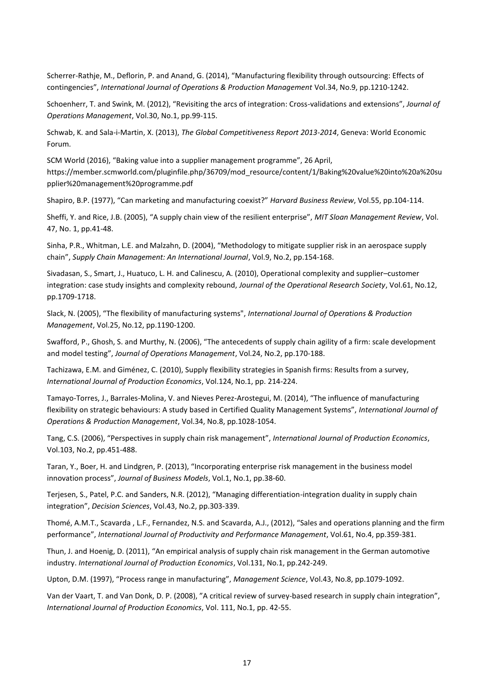Scherrer-Rathje, M., Deflorin, P. and Anand, G. (2014), "Manufacturing flexibility through outsourcing: Effects of contingencies", *International Journal of Operations & Production Management* Vol.34, No.9, pp.1210-1242.

Schoenherr, T. and Swink, M. (2012), "Revisiting the arcs of integration: Cross-validations and extensions", *Journal of Operations Management*, Vol.30, No.1, pp.99-115.

Schwab, K. and Sala-i-Martin, X. (2013), *The Global Competitiveness Report 2013-2014*, Geneva: World Economic Forum.

SCM World (2016), "Baking value into a supplier management programme", 26 April, https://member.scmworld.com/pluginfile.php/36709/mod\_resource/content/1/Baking%20value%20into%20a%20su pplier%20management%20programme.pdf

Shapiro, B.P. (1977), "Can marketing and manufacturing coexist?" *Harvard Business Review*, Vol.55, pp.104-114.

Sheffi, Y. and Rice, J.B. (2005), "A supply chain view of the resilient enterprise", *MIT Sloan Management Review*, Vol. 47, No. 1, pp.41-48.

Sinha, P.R., Whitman, L.E. and Malzahn, D. (2004), "Methodology to mitigate supplier risk in an aerospace supply chain", *Supply Chain Management: An International Journal*, Vol.9, No.2, pp.154-168.

Sivadasan, S., Smart, J., Huatuco, L. H. and Calinescu, A. (2010), Operational complexity and supplier–customer integration: case study insights and complexity rebound, *Journal of the Operational Research Society*, Vol.61, No.12, pp.1709-1718.

Slack, N. (2005), "The flexibility of manufacturing systems", *International Journal of Operations & Production Management*, Vol.25, No.12, pp.1190-1200.

Swafford, P., Ghosh, S. and Murthy, N. (2006), "The antecedents of supply chain agility of a firm: scale development and model testing", *Journal of Operations Management*, Vol.24, No.2, pp.170-188.

Tachizawa, E.M. and Giménez, C. (2010), Supply flexibility strategies in Spanish firms: Results from a survey, *International Journal of Production Economics*, Vol.124, No.1, pp. 214-224.

Tamayo-Torres, J., Barrales-Molina, V. and Nieves Perez-Arostegui, M. (2014), "The influence of manufacturing flexibility on strategic behaviours: A study based in Certified Quality Management Systems", *International Journal of Operations & Production Management*, Vol.34, No.8, pp.1028-1054.

Tang, C.S. (2006), "Perspectives in supply chain risk management", *International Journal of Production Economics*, Vol.103, No.2, pp.451-488.

Taran, Y., Boer, H. and Lindgren, P. (2013), "Incorporating enterprise risk management in the business model innovation process", *Journal of Business Models*, Vol.1, No.1, pp.38-60.

Terjesen, S., Patel, P.C. and Sanders, N.R. (2012), "Managing differentiation-integration duality in supply chain integration", *Decision Sciences*, Vol.43, No.2, pp.303-339.

[Thomé,](http://www.emeraldinsight.com/action/doSearch?ContribStored=M%C3%A1rcio+Tavares+Thom%C3%A9%2C+A) A.M.T., Scavarda , [L.F.,](http://www.emeraldinsight.com/action/doSearch?ContribStored=Felipe+Scavarda%2C+L) [Fernandez,](http://www.emeraldinsight.com/action/doSearch?ContribStored=Suclla+Fernandez%2C+N) N.S. an[d Scavarda](http://www.emeraldinsight.com/action/doSearch?ContribStored=Jos%C3%A9+Scavarda%2C+A), A.J., (2012), "Sales and operations planning and the firm performance", *International Journal of Productivity and Performance Management*, Vol.61, No.4, pp.359-381.

Thun, J. and Hoenig, D. (2011), "An empirical analysis of supply chain risk management in the German automotive industry. *International Journal of Production Economics*, Vol.131, No.1, pp.242-249.

Upton, D.M. (1997), "Process range in manufacturing", *Management Science*, Vol.43, No.8, pp.1079-1092.

Van der Vaart, T. and Van Donk, D. P. (2008), "A critical review of survey-based research in supply chain integration", *International Journal of Production Economics*, Vol. 111, No.1, pp. 42-55.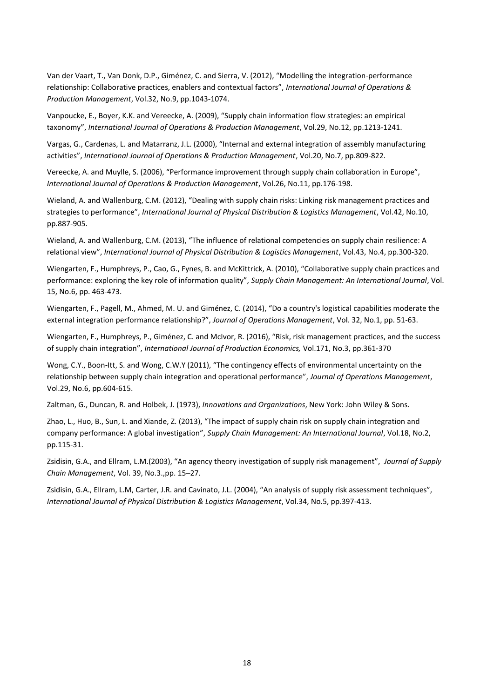Van der Vaart, T., Van Donk, D.P., Giménez, C. and Sierra, V. (2012), "Modelling the integration-performance relationship: Collaborative practices, enablers and contextual factors", *International Journal of Operations & Production Management*, Vol.32, No.9, pp.1043-1074.

Vanpoucke, E., Boyer, K.K. and Vereecke, A. (2009), "Supply chain information flow strategies: an empirical taxonomy", *International Journal of Operations & Production Management*, Vol.29, No.12, pp.1213-1241.

Vargas, G., Cardenas, L. and Matarranz, J.L. (2000), "Internal and external integration of assembly manufacturing activities", *International Journal of Operations & Production Management*, Vol.20, No.7, pp.809-822.

Vereecke, A. and Muylle, S. (2006), "Performance improvement through supply chain collaboration in Europe", *International Journal of Operations & Production Management*, Vol.26, No.11, pp.176-198.

Wieland, A. and Wallenburg, C.M. (2012), "Dealing with supply chain risks: Linking risk management practices and strategies to performance", *International Journal of Physical Distribution & Logistics Management*, Vol.42, No.10, pp.887-905.

Wieland, A. and Wallenburg, C.M. (2013), "The influence of relational competencies on supply chain resilience: A relational view", *International Journal of Physical Distribution & Logistics Management*, Vol.43, No.4, pp.300-320.

Wiengarten, F., Humphreys, P., Cao, G., Fynes, B. and McKittrick, A. (2010), "Collaborative supply chain practices and performance: exploring the key role of information quality", *Supply Chain Management: An International Journal*, Vol. 15, No.6, pp. 463-473.

Wiengarten, F., Pagell, M., Ahmed, M. U. and Giménez, C. (2014), "Do a country's logistical capabilities moderate the external integration performance relationship?", *Journal of Operations Management*, Vol. 32, No.1, pp. 51-63.

Wiengarten, F., Humphreys, P., Giménez, C. and McIvor, R. (2016), "Risk, risk management practices, and the success of supply chain integration", *International Journal of Production Economics,* Vol.171, No.3, pp.361-370

Wong, C.Y., Boon-Itt, S. and Wong, C.W.Y (2011), "The contingency effects of environmental uncertainty on the relationship between supply chain integration and operational performance", *Journal of Operations Management*, Vol.29, No.6, pp.604-615.

Zaltman, G., Duncan, R. and Holbek, J. (1973), *Innovations and Organizations*, New York: John Wiley & Sons.

Zhao, L., Huo, B., Sun, L. and Xiande, Z. (2013), "The impact of supply chain risk on supply chain integration and company performance: A global investigation", *Supply Chain Management: An International Journal*, Vol.18, No.2, pp.115-31.

Zsidisin, G.A., and Ellram, L.M.(2003), "An agency theory investigation of supply risk management", *Journal of Supply Chain Management*, Vol. 39, No.3.,pp. 15–27.

Zsidisin, G.A., Ellram, L.M, Carter, J.R. and Cavinato, J.L. (2004), "An analysis of supply risk assessment techniques", *International Journal of Physical Distribution & Logistics Management*, Vol.34, No.5, pp.397-413.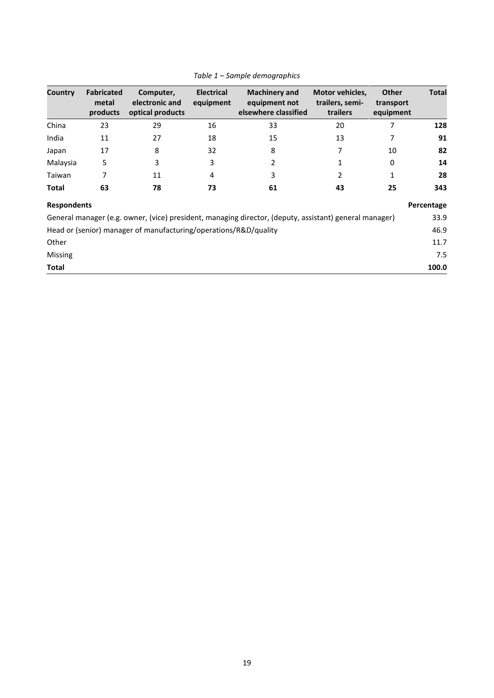| Country            | <b>Fabricated</b><br>metal<br>products | Computer,<br>electronic and<br>optical products                  | <b>Electrical</b><br>equipment | <b>Machinery and</b><br>equipment not<br>elsewhere classified                                          | Motor vehicles,<br>trailers, semi-<br>trailers | <b>Other</b><br>transport<br>equipment | <b>Total</b> |  |  |
|--------------------|----------------------------------------|------------------------------------------------------------------|--------------------------------|--------------------------------------------------------------------------------------------------------|------------------------------------------------|----------------------------------------|--------------|--|--|
| China              | 23                                     | 29                                                               | 16                             | 33                                                                                                     | 20                                             | 7                                      | 128          |  |  |
| India              | 11                                     | 27                                                               | 18                             | 15                                                                                                     | 13                                             | 7                                      | 91           |  |  |
| Japan              | 17                                     | 8                                                                | 32                             | 8                                                                                                      | 7                                              | 10                                     | 82           |  |  |
| Malaysia           | 5                                      | 3                                                                | 3                              | 2                                                                                                      | 1                                              | 0                                      | 14           |  |  |
| Taiwan             |                                        | 11                                                               | 4                              | 3                                                                                                      | 2                                              | 1                                      | 28           |  |  |
| <b>Total</b>       | 63                                     | 78                                                               | 73                             | 61                                                                                                     | 43                                             | 25                                     | 343          |  |  |
| <b>Respondents</b> |                                        |                                                                  |                                |                                                                                                        |                                                |                                        | Percentage   |  |  |
|                    |                                        |                                                                  |                                | General manager (e.g. owner, (vice) president, managing director, (deputy, assistant) general manager) |                                                |                                        | 33.9         |  |  |
|                    |                                        | Head or (senior) manager of manufacturing/operations/R&D/quality |                                |                                                                                                        |                                                |                                        | 46.9         |  |  |
| Other              |                                        |                                                                  |                                |                                                                                                        |                                                |                                        |              |  |  |
| Missing            |                                        |                                                                  |                                |                                                                                                        |                                                |                                        | 7.5          |  |  |
| <b>Total</b>       |                                        |                                                                  |                                |                                                                                                        |                                                |                                        | 100.0        |  |  |

#### *Table 1 – Sample demographics*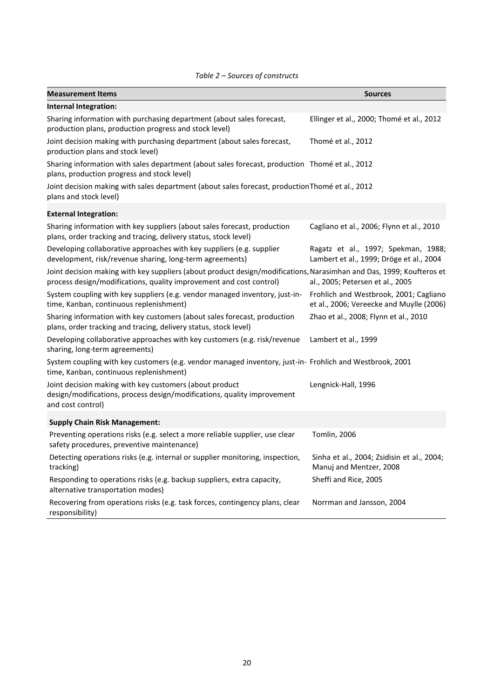| <b>Measurement Items</b>                                                                                                                                                                    | <b>Sources</b>                                                                     |
|---------------------------------------------------------------------------------------------------------------------------------------------------------------------------------------------|------------------------------------------------------------------------------------|
| Internal Integration:                                                                                                                                                                       |                                                                                    |
| Sharing information with purchasing department (about sales forecast,<br>production plans, production progress and stock level)                                                             | Ellinger et al., 2000; Thomé et al., 2012                                          |
| Joint decision making with purchasing department (about sales forecast,<br>production plans and stock level)                                                                                | Thomé et al., 2012                                                                 |
| Sharing information with sales department (about sales forecast, production Thomé et al., 2012<br>plans, production progress and stock level)                                               |                                                                                    |
| Joint decision making with sales department (about sales forecast, production Thomé et al., 2012<br>plans and stock level)                                                                  |                                                                                    |
| <b>External Integration:</b>                                                                                                                                                                |                                                                                    |
| Sharing information with key suppliers (about sales forecast, production<br>plans, order tracking and tracing, delivery status, stock level)                                                | Cagliano et al., 2006; Flynn et al., 2010                                          |
| Developing collaborative approaches with key suppliers (e.g. supplier<br>development, risk/revenue sharing, long-term agreements)                                                           | Ragatz et al., 1997; Spekman, 1988;<br>Lambert et al., 1999; Dröge et al., 2004    |
| Joint decision making with key suppliers (about product design/modifications, Narasimhan and Das, 1999; Koufteros et<br>process design/modifications, quality improvement and cost control) | al., 2005; Petersen et al., 2005                                                   |
| System coupling with key suppliers (e.g. vendor managed inventory, just-in-<br>time, Kanban, continuous replenishment)                                                                      | Frohlich and Westbrook, 2001; Cagliano<br>et al., 2006; Vereecke and Muylle (2006) |
| Sharing information with key customers (about sales forecast, production<br>plans, order tracking and tracing, delivery status, stock level)                                                | Zhao et al., 2008; Flynn et al., 2010                                              |
| Developing collaborative approaches with key customers (e.g. risk/revenue<br>sharing, long-term agreements)                                                                                 | Lambert et al., 1999                                                               |
| System coupling with key customers (e.g. vendor managed inventory, just-in- Frohlich and Westbrook, 2001<br>time, Kanban, continuous replenishment)                                         |                                                                                    |
| Joint decision making with key customers (about product<br>design/modifications, process design/modifications, quality improvement<br>and cost control)                                     | Lengnick-Hall, 1996                                                                |
| <b>Supply Chain Risk Management:</b>                                                                                                                                                        |                                                                                    |
| Preventing operations risks (e.g. select a more reliable supplier, use clear<br>safety procedures, preventive maintenance)                                                                  | Tomlin, 2006                                                                       |
| Detecting operations risks (e.g. internal or supplier monitoring, inspection,<br>tracking)                                                                                                  | Sinha et al., 2004; Zsidisin et al., 2004;<br>Manuj and Mentzer, 2008              |
| Responding to operations risks (e.g. backup suppliers, extra capacity,<br>alternative transportation modes)                                                                                 | Sheffi and Rice, 2005                                                              |
| Recovering from operations risks (e.g. task forces, contingency plans, clear<br>responsibility)                                                                                             | Norrman and Jansson, 2004                                                          |

#### *Table 2 – Sources of constructs*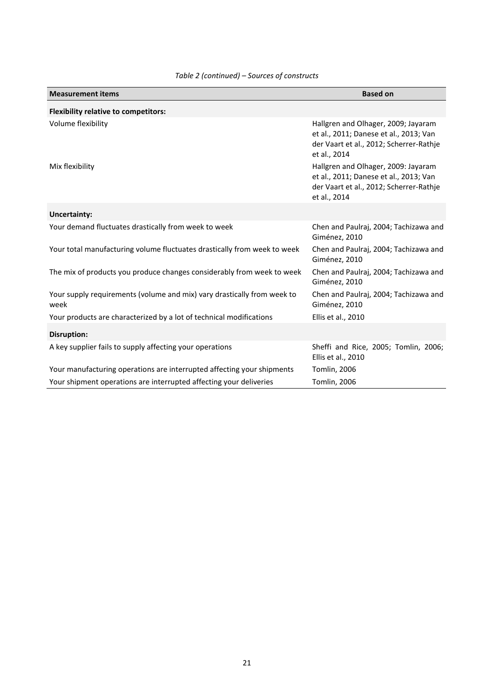| <b>Measurement items</b>                                                        | <b>Based on</b>                                                                                                                          |
|---------------------------------------------------------------------------------|------------------------------------------------------------------------------------------------------------------------------------------|
| <b>Flexibility relative to competitors:</b>                                     |                                                                                                                                          |
| Volume flexibility                                                              | Hallgren and Olhager, 2009; Jayaram<br>et al., 2011; Danese et al., 2013; Van<br>der Vaart et al., 2012; Scherrer-Rathje<br>et al., 2014 |
| Mix flexibility                                                                 | Hallgren and Olhager, 2009: Jayaram<br>et al., 2011; Danese et al., 2013; Van<br>der Vaart et al., 2012; Scherrer-Rathje<br>et al., 2014 |
| <b>Uncertainty:</b>                                                             |                                                                                                                                          |
| Your demand fluctuates drastically from week to week                            | Chen and Paulraj, 2004; Tachizawa and<br>Giménez, 2010                                                                                   |
| Your total manufacturing volume fluctuates drastically from week to week        | Chen and Paulraj, 2004; Tachizawa and<br>Giménez, 2010                                                                                   |
| The mix of products you produce changes considerably from week to week          | Chen and Paulraj, 2004; Tachizawa and<br>Giménez, 2010                                                                                   |
| Your supply requirements (volume and mix) vary drastically from week to<br>week | Chen and Paulraj, 2004; Tachizawa and<br>Giménez, 2010                                                                                   |
| Your products are characterized by a lot of technical modifications             | Ellis et al., 2010                                                                                                                       |
| <b>Disruption:</b>                                                              |                                                                                                                                          |
| A key supplier fails to supply affecting your operations                        | Sheffi and Rice, 2005; Tomlin, 2006;<br>Ellis et al., 2010                                                                               |
| Your manufacturing operations are interrupted affecting your shipments          | Tomlin, 2006                                                                                                                             |
| Your shipment operations are interrupted affecting your deliveries              | Tomlin, 2006                                                                                                                             |

#### *Table 2 (continued) – Sources of constructs*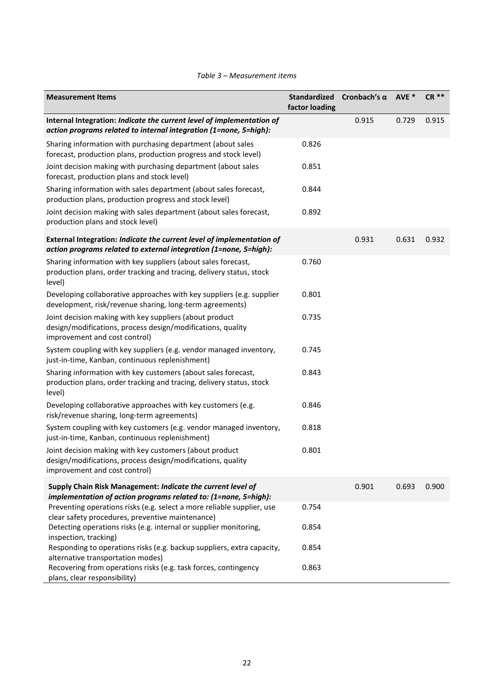| <b>Measurement Items</b>                                                                                                                                | <b>Standardized</b><br>factor loading | Cronbach's $\alpha$ | AVE * | <b>CR **</b> |
|---------------------------------------------------------------------------------------------------------------------------------------------------------|---------------------------------------|---------------------|-------|--------------|
| Internal Integration: Indicate the current level of implementation of<br>action programs related to internal integration (1=none, 5=high):              |                                       | 0.915               | 0.729 | 0.915        |
| Sharing information with purchasing department (about sales<br>forecast, production plans, production progress and stock level)                         | 0.826                                 |                     |       |              |
| Joint decision making with purchasing department (about sales<br>forecast, production plans and stock level)                                            | 0.851                                 |                     |       |              |
| Sharing information with sales department (about sales forecast,<br>production plans, production progress and stock level)                              | 0.844                                 |                     |       |              |
| Joint decision making with sales department (about sales forecast,<br>production plans and stock level)                                                 | 0.892                                 |                     |       |              |
| External Integration: Indicate the current level of implementation of<br>action programs related to external integration (1=none, 5=high):              |                                       | 0.931               | 0.631 | 0.932        |
| Sharing information with key suppliers (about sales forecast,<br>production plans, order tracking and tracing, delivery status, stock<br>level)         | 0.760                                 |                     |       |              |
| Developing collaborative approaches with key suppliers (e.g. supplier<br>development, risk/revenue sharing, long-term agreements)                       | 0.801                                 |                     |       |              |
| Joint decision making with key suppliers (about product<br>design/modifications, process design/modifications, quality<br>improvement and cost control) | 0.735                                 |                     |       |              |
| System coupling with key suppliers (e.g. vendor managed inventory,<br>just-in-time, Kanban, continuous replenishment)                                   | 0.745                                 |                     |       |              |
| Sharing information with key customers (about sales forecast,<br>production plans, order tracking and tracing, delivery status, stock<br>level)         | 0.843                                 |                     |       |              |
| Developing collaborative approaches with key customers (e.g.<br>risk/revenue sharing, long-term agreements)                                             | 0.846                                 |                     |       |              |
| System coupling with key customers (e.g. vendor managed inventory,<br>just-in-time, Kanban, continuous replenishment)                                   | 0.818                                 |                     |       |              |
| Joint decision making with key customers (about product<br>design/modifications, process design/modifications, quality<br>improvement and cost control) | 0.801                                 |                     |       |              |
| Supply Chain Risk Management: Indicate the current level of<br>implementation of action programs related to: (1=none, 5=high):                          |                                       | 0.901               | 0.693 | 0.900        |
| Preventing operations risks (e.g. select a more reliable supplier, use<br>clear safety procedures, preventive maintenance)                              | 0.754                                 |                     |       |              |
| Detecting operations risks (e.g. internal or supplier monitoring,<br>inspection, tracking)                                                              | 0.854                                 |                     |       |              |
| Responding to operations risks (e.g. backup suppliers, extra capacity,<br>alternative transportation modes)                                             | 0.854                                 |                     |       |              |
| Recovering from operations risks (e.g. task forces, contingency<br>plans, clear responsibility)                                                         | 0.863                                 |                     |       |              |

#### *Table 3 – Measurement items*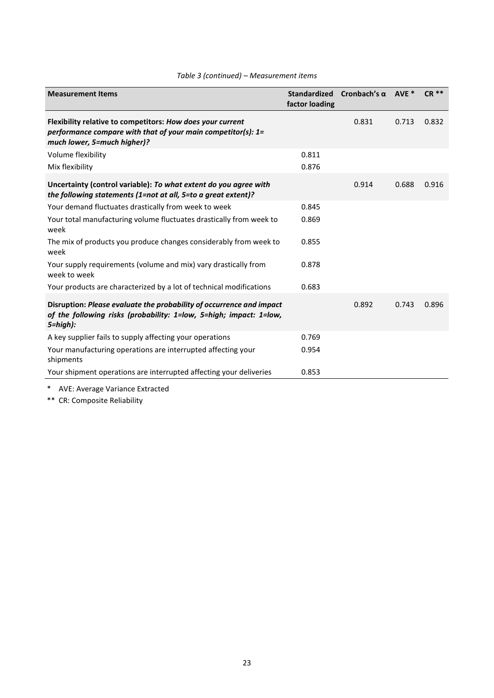| <b>Measurement Items</b>                                                                                                                                   | factor loading | Standardized Cronbach's $\alpha$ | AVE * | <b>CR **</b> |
|------------------------------------------------------------------------------------------------------------------------------------------------------------|----------------|----------------------------------|-------|--------------|
| Flexibility relative to competitors: How does your current<br>performance compare with that of your main competitor(s): 1=<br>much lower, 5=much higher)?  |                | 0.831                            | 0.713 | 0.832        |
| Volume flexibility                                                                                                                                         | 0.811          |                                  |       |              |
| Mix flexibility                                                                                                                                            | 0.876          |                                  |       |              |
| Uncertainty (control variable): To what extent do you agree with<br>the following statements (1=not at all, 5=to a great extent)?                          |                | 0.914                            | 0.688 | 0.916        |
| Your demand fluctuates drastically from week to week                                                                                                       | 0.845          |                                  |       |              |
| Your total manufacturing volume fluctuates drastically from week to<br>week                                                                                | 0.869          |                                  |       |              |
| The mix of products you produce changes considerably from week to<br>week                                                                                  | 0.855          |                                  |       |              |
| Your supply requirements (volume and mix) vary drastically from<br>week to week                                                                            | 0.878          |                                  |       |              |
| Your products are characterized by a lot of technical modifications                                                                                        | 0.683          |                                  |       |              |
| Disruption: Please evaluate the probability of occurrence and impact<br>of the following risks (probability: 1=low, 5=high; impact: 1=low,<br>$5 = high$ : |                | 0.892                            | 0.743 | 0.896        |
| A key supplier fails to supply affecting your operations                                                                                                   | 0.769          |                                  |       |              |
| Your manufacturing operations are interrupted affecting your<br>shipments                                                                                  | 0.954          |                                  |       |              |
| Your shipment operations are interrupted affecting your deliveries                                                                                         | 0.853          |                                  |       |              |

\* AVE: Average Variance Extracted

\*\* CR: Composite Reliability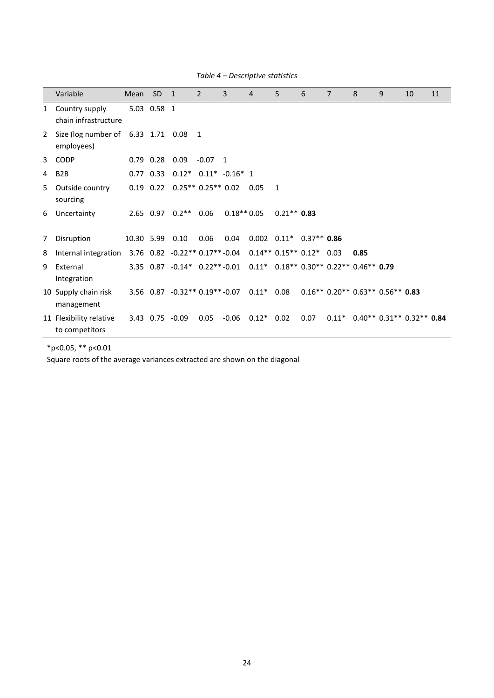|              | Variable                                    | Mean       | <b>SD</b>   | $\mathbf{1}$                                                        | 2         | 3            | $\overline{4}$       | 5                             | 6    | $\overline{7}$ | 8    | 9                                  | 10 | 11 |
|--------------|---------------------------------------------|------------|-------------|---------------------------------------------------------------------|-----------|--------------|----------------------|-------------------------------|------|----------------|------|------------------------------------|----|----|
| $\mathbf{1}$ | Country supply<br>chain infrastructure      |            | 5.03 0.58 1 |                                                                     |           |              |                      |                               |      |                |      |                                    |    |    |
| 2            | Size (log number of 6.33 1.71<br>employees) |            |             | $0.08$ 1                                                            |           |              |                      |                               |      |                |      |                                    |    |    |
|              | 3 CODP                                      |            |             | $0.79$ 0.28 0.09                                                    | $-0.07$ 1 |              |                      |                               |      |                |      |                                    |    |    |
| 4            | B <sub>2</sub> B                            |            | $0.77$ 0.33 | $0.12^*$ $0.11^*$ $-0.16^*$ 1                                       |           |              |                      |                               |      |                |      |                                    |    |    |
| 5            | Outside country<br>sourcing                 |            |             | $0.19$ $0.22$ $0.25**$ $0.25**$ $0.02$                              |           |              | 0.05                 | 1                             |      |                |      |                                    |    |    |
| 6            | Uncertainty                                 |            |             | $2.65$ 0.97 0.2**                                                   | 0.06      | $0.18**0.05$ |                      | $0.21**$ 0.83                 |      |                |      |                                    |    |    |
| 7            | Disruption                                  | 10.30 5.99 |             | 0.10                                                                | 0.06      | 0.04         |                      | $0.002$ $0.11*$ $0.37**$ 0.86 |      |                |      |                                    |    |    |
| 8            | Internal integration                        |            |             | $3.76$ $0.82$ $-0.22**$ $0.17**$ $-0.04$                            |           |              |                      | $0.14**0.15**0.12*0.03$       |      |                | 0.85 |                                    |    |    |
| 9            | External<br>Integration                     |            |             | 3.35 0.87 -0.14* 0.22**-0.01 0.11* 0.18** 0.30** 0.22** 0.46** 0.79 |           |              |                      |                               |      |                |      |                                    |    |    |
|              | 10 Supply chain risk<br>management          |            |             | $3.56$ $0.87$ $-0.32**$ $0.19**$ $-0.07$                            |           |              | $0.11*$ 0.08         |                               |      |                |      | $0.16** 0.20** 0.63** 0.56** 0.83$ |    |    |
|              | 11 Flexibility relative<br>to competitors   |            |             | 3.43 0.75 -0.09                                                     | 0.05      |              | $-0.06$ $0.12*$ 0.02 |                               | 0.07 |                |      | $0.11^*$ 0.40** 0.31** 0.32** 0.84 |    |    |

*Table 4 – Descriptive statistics*

\*p<0.05, \*\* p<0.01

Square roots of the average variances extracted are shown on the diagonal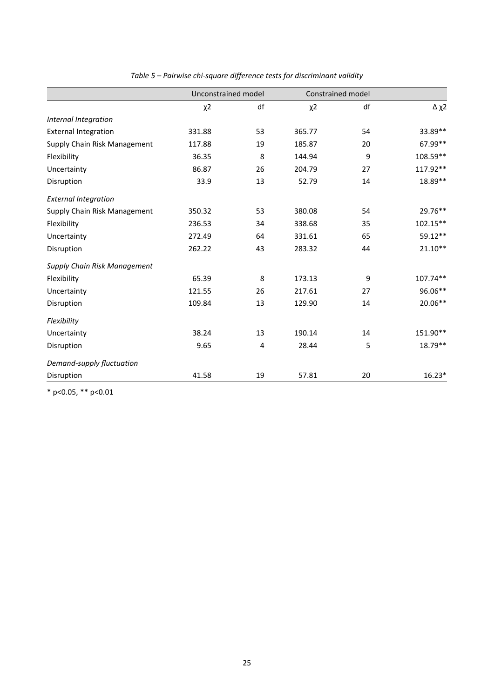|                              | Unconstrained model |    | Constrained model |    |            |
|------------------------------|---------------------|----|-------------------|----|------------|
|                              | $x^2$               | df | $x^2$             | df | $Δ$ χ2     |
| Internal Integration         |                     |    |                   |    |            |
| <b>External Integration</b>  | 331.88              | 53 | 365.77            | 54 | 33.89**    |
| Supply Chain Risk Management | 117.88              | 19 | 185.87            | 20 | 67.99**    |
| Flexibility                  | 36.35               | 8  | 144.94            | 9  | 108.59**   |
| Uncertainty                  | 86.87               | 26 | 204.79            | 27 | 117.92**   |
| Disruption                   | 33.9                | 13 | 52.79             | 14 | 18.89**    |
| <b>External Integration</b>  |                     |    |                   |    |            |
| Supply Chain Risk Management | 350.32              | 53 | 380.08            | 54 | 29.76**    |
| Flexibility                  | 236.53              | 34 | 338.68            | 35 | $102.15**$ |
| Uncertainty                  | 272.49              | 64 | 331.61            | 65 | 59.12**    |
| Disruption                   | 262.22              | 43 | 283.32            | 44 | $21.10**$  |
| Supply Chain Risk Management |                     |    |                   |    |            |
| Flexibility                  | 65.39               | 8  | 173.13            | 9  | 107.74**   |
| Uncertainty                  | 121.55              | 26 | 217.61            | 27 | 96.06**    |
| Disruption                   | 109.84              | 13 | 129.90            | 14 | 20.06**    |
| Flexibility                  |                     |    |                   |    |            |
| Uncertainty                  | 38.24               | 13 | 190.14            | 14 | 151.90**   |
| Disruption                   | 9.65                | 4  | 28.44             | 5  | 18.79**    |
| Demand-supply fluctuation    |                     |    |                   |    |            |
| Disruption                   | 41.58               | 19 | 57.81             | 20 | $16.23*$   |

*Table 5 – Pairwise chi-square difference tests for discriminant validity*

\* p<0.05, \*\* p<0.01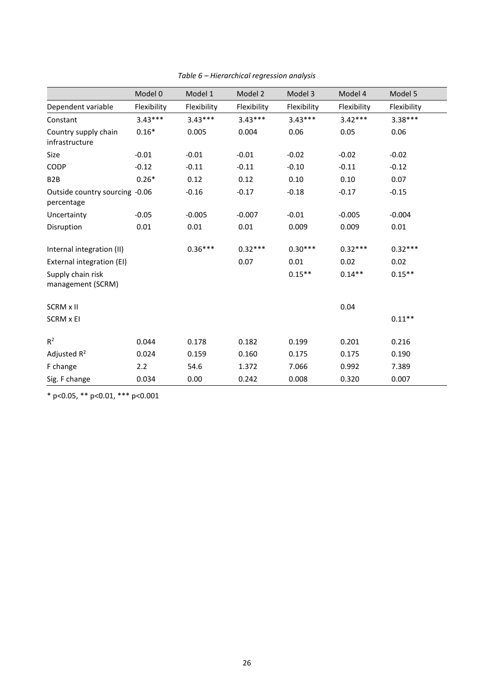|                                              | Model 0     | Model 1     | Model 2     | Model 3     | Model 4     | Model 5     |
|----------------------------------------------|-------------|-------------|-------------|-------------|-------------|-------------|
| Dependent variable                           | Flexibility | Flexibility | Flexibility | Flexibility | Flexibility | Flexibility |
| Constant                                     | $3.43***$   | $3.43***$   | $3.43***$   | $3.43***$   | $3.42***$   | $3.38***$   |
| Country supply chain<br>infrastructure       | $0.16*$     | 0.005       | 0.004       | 0.06        | 0.05        | 0.06        |
| Size                                         | $-0.01$     | $-0.01$     | $-0.01$     | $-0.02$     | $-0.02$     | $-0.02$     |
| CODP                                         | $-0.12$     | $-0.11$     | $-0.11$     | $-0.10$     | $-0.11$     | $-0.12$     |
| B <sub>2</sub> B                             | $0.26*$     | 0.12        | 0.12        | 0.10        | 0.10        | 0.07        |
| Outside country sourcing -0.06<br>percentage |             | $-0.16$     | $-0.17$     | $-0.18$     | $-0.17$     | $-0.15$     |
| Uncertainty                                  | $-0.05$     | $-0.005$    | $-0.007$    | $-0.01$     | $-0.005$    | $-0.004$    |
| Disruption                                   | 0.01        | 0.01        | 0.01        | 0.009       | 0.009       | 0.01        |
| Internal integration (II)                    |             | $0.36***$   | $0.32***$   | $0.30***$   | $0.32***$   | $0.32***$   |
| External integration (EI)                    |             |             | 0.07        | 0.01        | 0.02        | 0.02        |
| Supply chain risk<br>management (SCRM)       |             |             |             | $0.15***$   | $0.14**$    | $0.15**$    |
| SCRM x II                                    |             |             |             |             | 0.04        |             |
| SCRM x EI                                    |             |             |             |             |             | $0.11**$    |
| $R^2$                                        | 0.044       | 0.178       | 0.182       | 0.199       | 0.201       | 0.216       |
| Adjusted $R^2$                               | 0.024       | 0.159       | 0.160       | 0.175       | 0.175       | 0.190       |
| F change                                     | 2.2         | 54.6        | 1.372       | 7.066       | 0.992       | 7.389       |
| Sig. F change                                | 0.034       | 0.00        | 0.242       | 0.008       | 0.320       | 0.007       |

*Table 6 – Hierarchical regression analysis*

\* p<0.05, \*\* p<0.01, \*\*\* p<0.001